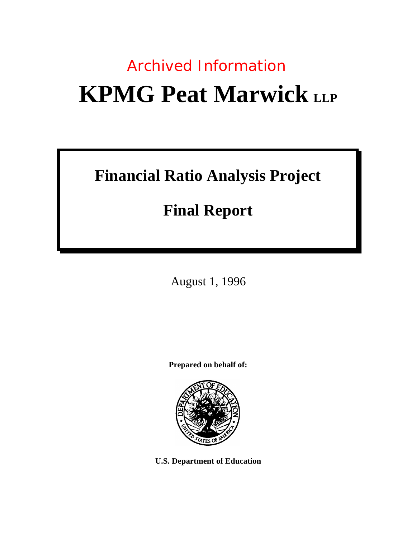# **KPMG Peat Marwick** LLP Archived Information

# **Financial Ratio Analysis Project**

# **Final Report**

August 1, 1996

**Prepared on behalf of:**



**U.S. Department of Education**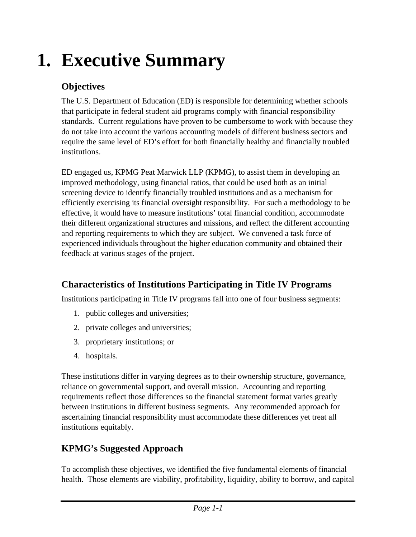# **1. Executive Summary**

#### **Objectives**

The U.S. Department of Education (ED) is responsible for determining whether schools that participate in federal student aid programs comply with financial responsibility standards. Current regulations have proven to be cumbersome to work with because they do not take into account the various accounting models of different business sectors and require the same level of ED's effort for both financially healthy and financially troubled institutions.

ED engaged us, KPMG Peat Marwick LLP (KPMG), to assist them in developing an improved methodology, using financial ratios, that could be used both as an initial screening device to identify financially troubled institutions and as a mechanism for efficiently exercising its financial oversight responsibility. For such a methodology to be effective, it would have to measure institutions' total financial condition, accommodate their different organizational structures and missions, and reflect the different accounting and reporting requirements to which they are subject. We convened a task force of experienced individuals throughout the higher education community and obtained their feedback at various stages of the project.

#### **Characteristics of Institutions Participating in Title IV Programs**

Institutions participating in Title IV programs fall into one of four business segments:

- 1. public colleges and universities;
- 2. private colleges and universities;
- 3. proprietary institutions; or
- 4. hospitals.

These institutions differ in varying degrees as to their ownership structure, governance, reliance on governmental support, and overall mission. Accounting and reporting requirements reflect those differences so the financial statement format varies greatly between institutions in different business segments. Any recommended approach for ascertaining financial responsibility must accommodate these differences yet treat all institutions equitably.

#### **KPMG's Suggested Approach**

To accomplish these objectives, we identified the five fundamental elements of financial health. Those elements are viability, profitability, liquidity, ability to borrow, and capital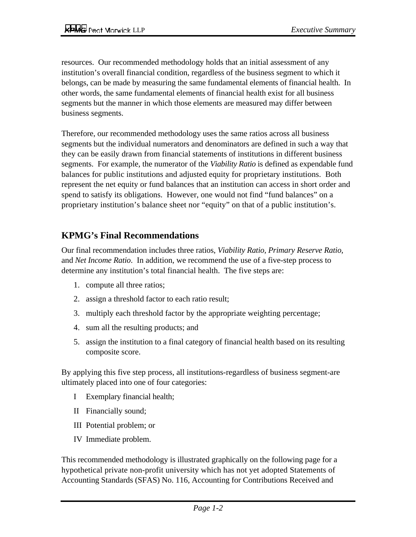resources. Our recommended methodology holds that an initial assessment of any institution's overall financial condition, regardless of the business segment to which it belongs, can be made by measuring the same fundamental elements of financial health. In other words, the same fundamental elements of financial health exist for all business segments but the manner in which those elements are measured may differ between business segments.

Therefore, our recommended methodology uses the same ratios across all business segments but the individual numerators and denominators are defined in such a way that they can be easily drawn from financial statements of institutions in different business segments. For example, the numerator of the *Viability Ratio* is defined as expendable fund balances for public institutions and adjusted equity for proprietary institutions. Both represent the net equity or fund balances that an institution can access in short order and spend to satisfy its obligations. However, one would not find "fund balances" on a proprietary institution's balance sheet nor "equity" on that of a public institution's.

#### **KPMG's Final Recommendations**

Our final recommendation includes three ratios, *Viability Ratio, Primary Reserve Ratio,* and *Net Income Ratio*. In addition, we recommend the use of a five-step process to determine any institution's total financial health. The five steps are:

- 1. compute all three ratios;
- 2. assign a threshold factor to each ratio result;
- 3. multiply each threshold factor by the appropriate weighting percentage;
- 4. sum all the resulting products; and
- 5. assign the institution to a final category of financial health based on its resulting composite score.

By applying this five step process, all institutions-regardless of business segment-are ultimately placed into one of four categories:

- I Exemplary financial health;
- II Financially sound;
- III Potential problem; or
- IV Immediate problem.

This recommended methodology is illustrated graphically on the following page for a hypothetical private non-profit university which has not yet adopted Statements of Accounting Standards (SFAS) No. 116, Accounting for Contributions Received and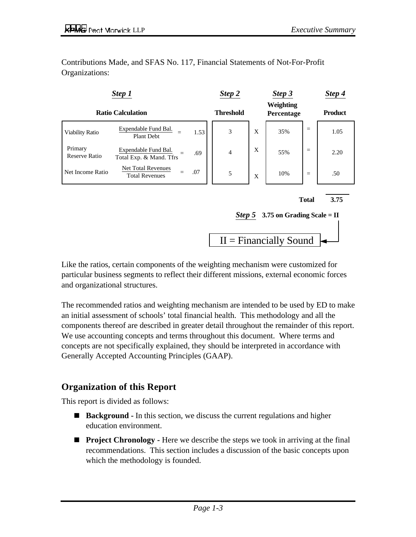Contributions Made, and SFAS No. 117, Financial Statements of Not-For-Profit Organizations:



Like the ratios, certain components of the weighting mechanism were customized for particular business segments to reflect their different missions, external economic forces and organizational structures.

The recommended ratios and weighting mechanism are intended to be used by ED to make an initial assessment of schools' total financial health. This methodology and all the components thereof are described in greater detail throughout the remainder of this report. We use accounting concepts and terms throughout this document. Where terms and concepts are not specifically explained, they should be interpreted in accordance with Generally Accepted Accounting Principles (GAAP).

#### **Organization of this Report**

This report is divided as follows:

- **Background -** In this section, we discuss the current regulations and higher education environment.
- **Project Chronology -** Here we describe the steps we took in arriving at the final recommendations. This section includes a discussion of the basic concepts upon which the methodology is founded.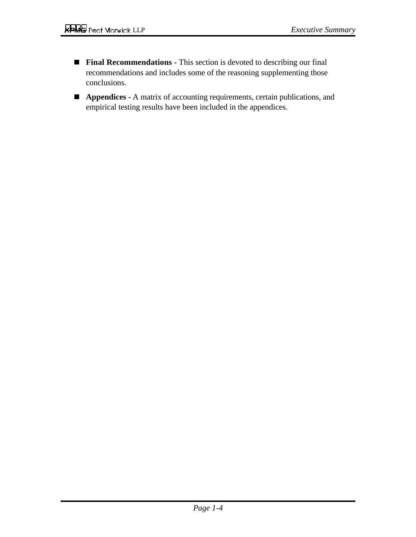- **Final Recommendations -** This section is devoted to describing our final recommendations and includes some of the reasoning supplementing those conclusions.
- **Appendices -** A matrix of accounting requirements, certain publications, and empirical testing results have been included in the appendices.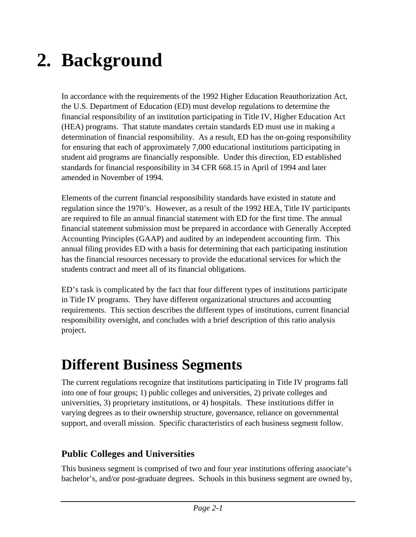# **2. Background**

In accordance with the requirements of the 1992 Higher Education Reauthorization Act, the U.S. Department of Education (ED) must develop regulations to determine the financial responsibility of an institution participating in Title IV, Higher Education Act (HEA) programs. That statute mandates certain standards ED must use in making a determination of financial responsibility. As a result, ED has the on-going responsibility for ensuring that each of approximately 7,000 educational institutions participating in student aid programs are financially responsible. Under this direction, ED established standards for financial responsibility in 34 CFR 668.15 in April of 1994 and later amended in November of 1994.

Elements of the current financial responsibility standards have existed in statute and regulation since the 1970's. However, as a result of the 1992 HEA, Title IV participants are required to file an annual financial statement with ED for the first time. The annual financial statement submission must be prepared in accordance with Generally Accepted Accounting Principles (GAAP) and audited by an independent accounting firm. This annual filing provides ED with a basis for determining that each participating institution has the financial resources necessary to provide the educational services for which the students contract and meet all of its financial obligations.

ED's task is complicated by the fact that four different types of institutions participate in Title IV programs. They have different organizational structures and accounting requirements. This section describes the different types of institutions, current financial responsibility oversight, and concludes with a brief description of this ratio analysis project.

## **Different Business Segments**

The current regulations recognize that institutions participating in Title IV programs fall into one of four groups; 1) public colleges and universities, 2) private colleges and universities, 3) proprietary institutions, or 4) hospitals. These institutions differ in varying degrees as to their ownership structure, governance, reliance on governmental support, and overall mission. Specific characteristics of each business segment follow.

#### **Public Colleges and Universities**

This business segment is comprised of two and four year institutions offering associate's bachelor's, and/or post-graduate degrees. Schools in this business segment are owned by,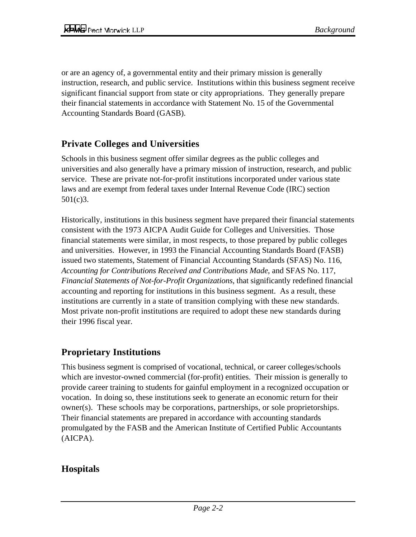or are an agency of, a governmental entity and their primary mission is generally instruction, research, and public service. Institutions within this business segment receive significant financial support from state or city appropriations. They generally prepare their financial statements in accordance with Statement No. 15 of the Governmental Accounting Standards Board (GASB).

#### **Private Colleges and Universities**

Schools in this business segment offer similar degrees as the public colleges and universities and also generally have a primary mission of instruction, research, and public service. These are private not-for-profit institutions incorporated under various state laws and are exempt from federal taxes under Internal Revenue Code (IRC) section 501(c)3.

Historically, institutions in this business segment have prepared their financial statements consistent with the 1973 AICPA Audit Guide for Colleges and Universities. Those financial statements were similar, in most respects, to those prepared by public colleges and universities. However, in 1993 the Financial Accounting Standards Board (FASB) issued two statements, Statement of Financial Accounting Standards (SFAS) No. 116, *Accounting for Contributions Received and Contributions Made*, and SFAS No. 117, *Financial Statements of Not-for-Profit Organizations*, that significantly redefined financial accounting and reporting for institutions in this business segment. As a result, these institutions are currently in a state of transition complying with these new standards. Most private non-profit institutions are required to adopt these new standards during their 1996 fiscal year.

#### **Proprietary Institutions**

This business segment is comprised of vocational, technical, or career colleges/schools which are investor-owned commercial (for-profit) entities. Their mission is generally to provide career training to students for gainful employment in a recognized occupation or vocation. In doing so, these institutions seek to generate an economic return for their owner(s). These schools may be corporations, partnerships, or sole proprietorships. Their financial statements are prepared in accordance with accounting standards promulgated by the FASB and the American Institute of Certified Public Accountants (AICPA).

#### **Hospitals**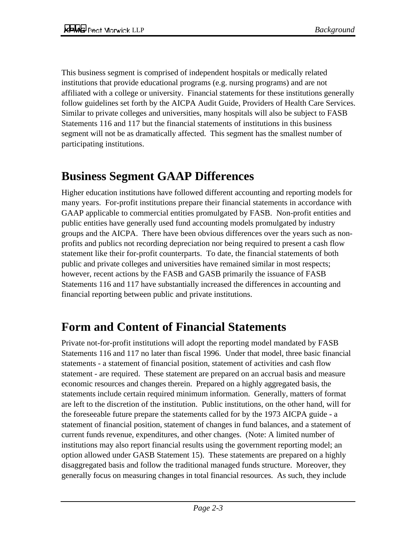This business segment is comprised of independent hospitals or medically related institutions that provide educational programs (e.g. nursing programs) and are not affiliated with a college or university. Financial statements for these institutions generally follow guidelines set forth by the AICPA Audit Guide, Providers of Health Care Services. Similar to private colleges and universities, many hospitals will also be subject to FASB Statements 116 and 117 but the financial statements of institutions in this business segment will not be as dramatically affected. This segment has the smallest number of participating institutions.

### **Business Segment GAAP Differences**

Higher education institutions have followed different accounting and reporting models for many years. For-profit institutions prepare their financial statements in accordance with GAAP applicable to commercial entities promulgated by FASB. Non-profit entities and public entities have generally used fund accounting models promulgated by industry groups and the AICPA. There have been obvious differences over the years such as nonprofits and publics not recording depreciation nor being required to present a cash flow statement like their for-profit counterparts. To date, the financial statements of both public and private colleges and universities have remained similar in most respects; however, recent actions by the FASB and GASB primarily the issuance of FASB Statements 116 and 117 have substantially increased the differences in accounting and financial reporting between public and private institutions.

### **Form and Content of Financial Statements**

Private not-for-profit institutions will adopt the reporting model mandated by FASB Statements 116 and 117 no later than fiscal 1996. Under that model, three basic financial statements - a statement of financial position, statement of activities and cash flow statement - are required. These statement are prepared on an accrual basis and measure economic resources and changes therein. Prepared on a highly aggregated basis, the statements include certain required minimum information. Generally, matters of format are left to the discretion of the institution. Public institutions, on the other hand, will for the foreseeable future prepare the statements called for by the 1973 AICPA guide - a statement of financial position, statement of changes in fund balances, and a statement of current funds revenue, expenditures, and other changes. (Note: A limited number of institutions may also report financial results using the government reporting model; an option allowed under GASB Statement 15). These statements are prepared on a highly disaggregated basis and follow the traditional managed funds structure. Moreover, they generally focus on measuring changes in total financial resources. As such, they include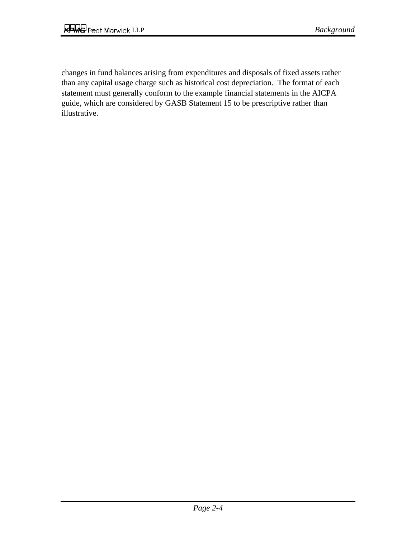changes in fund balances arising from expenditures and disposals of fixed assets rather than any capital usage charge such as historical cost depreciation. The format of each statement must generally conform to the example financial statements in the AICPA guide, which are considered by GASB Statement 15 to be prescriptive rather than illustrative.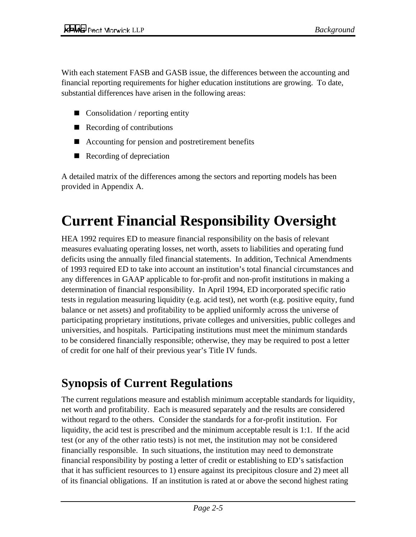With each statement FASB and GASB issue, the differences between the accounting and financial reporting requirements for higher education institutions are growing. To date, substantial differences have arisen in the following areas:

- Consolidation / reporting entity
- Recording of contributions
- Accounting for pension and postretirement benefits
- Recording of depreciation

A detailed matrix of the differences among the sectors and reporting models has been provided in Appendix A.

# **Current Financial Responsibility Oversight**

HEA 1992 requires ED to measure financial responsibility on the basis of relevant measures evaluating operating losses, net worth, assets to liabilities and operating fund deficits using the annually filed financial statements. In addition, Technical Amendments of 1993 required ED to take into account an institution's total financial circumstances and any differences in GAAP applicable to for-profit and non-profit institutions in making a determination of financial responsibility. In April 1994, ED incorporated specific ratio tests in regulation measuring liquidity (e.g. acid test), net worth (e.g. positive equity, fund balance or net assets) and profitability to be applied uniformly across the universe of participating proprietary institutions, private colleges and universities, public colleges and universities, and hospitals. Participating institutions must meet the minimum standards to be considered financially responsible; otherwise, they may be required to post a letter of credit for one half of their previous year's Title IV funds.

## **Synopsis of Current Regulations**

The current regulations measure and establish minimum acceptable standards for liquidity, net worth and profitability. Each is measured separately and the results are considered without regard to the others. Consider the standards for a for-profit institution. For liquidity, the acid test is prescribed and the minimum acceptable result is 1:1. If the acid test (or any of the other ratio tests) is not met, the institution may not be considered financially responsible. In such situations, the institution may need to demonstrate financial responsibility by posting a letter of credit or establishing to ED's satisfaction that it has sufficient resources to 1) ensure against its precipitous closure and 2) meet all of its financial obligations. If an institution is rated at or above the second highest rating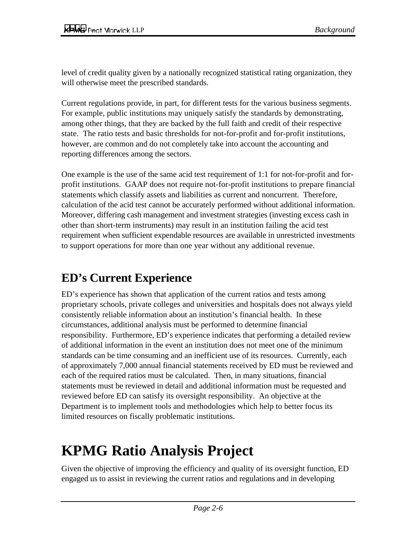level of credit quality given by a nationally recognized statistical rating organization, they will otherwise meet the prescribed standards.

Current regulations provide, in part, for different tests for the various business segments. For example, public institutions may uniquely satisfy the standards by demonstrating, among other things, that they are backed by the full faith and credit of their respective state. The ratio tests and basic thresholds for not-for-profit and for-profit institutions, however, are common and do not completely take into account the accounting and reporting differences among the sectors.

One example is the use of the same acid test requirement of 1:1 for not-for-profit and forprofit institutions. GAAP does not require not-for-profit institutions to prepare financial statements which classify assets and liabilities as current and noncurrent. Therefore, calculation of the acid test cannot be accurately performed without additional information. Moreover, differing cash management and investment strategies (investing excess cash in other than short-term instruments) may result in an institution failing the acid test requirement when sufficient expendable resources are available in unrestricted investments to support operations for more than one year without any additional revenue.

## **ED's Current Experience**

ED's experience has shown that application of the current ratios and tests among proprietary schools, private colleges and universities and hospitals does not always yield consistently reliable information about an institution's financial health. In these circumstances, additional analysis must be performed to determine financial responsibility. Furthermore, ED's experience indicates that performing a detailed review of additional information in the event an institution does not meet one of the minimum standards can be time consuming and an inefficient use of its resources. Currently, each of approximately 7,000 annual financial statements received by ED must be reviewed and each of the required ratios must be calculated. Then, in many situations, financial statements must be reviewed in detail and additional information must be requested and reviewed before ED can satisfy its oversight responsibility. An objective at the Department is to implement tools and methodologies which help to better focus its limited resources on fiscally problematic institutions.

## **KPMG Ratio Analysis Project**

Given the objective of improving the efficiency and quality of its oversight function, ED engaged us to assist in reviewing the current ratios and regulations and in developing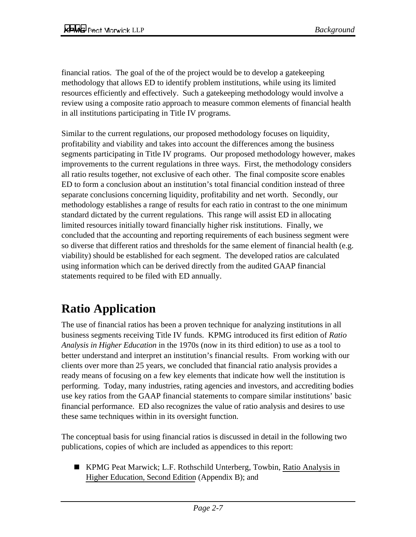financial ratios. The goal of the of the project would be to develop a gatekeeping methodology that allows ED to identify problem institutions, while using its limited resources efficiently and effectively. Such a gatekeeping methodology would involve a review using a composite ratio approach to measure common elements of financial health in all institutions participating in Title IV programs.

Similar to the current regulations, our proposed methodology focuses on liquidity, profitability and viability and takes into account the differences among the business segments participating in Title IV programs. Our proposed methodology however, makes improvements to the current regulations in three ways. First, the methodology considers all ratio results together, not exclusive of each other. The final composite score enables ED to form a conclusion about an institution's total financial condition instead of three separate conclusions concerning liquidity, profitability and net worth. Secondly, our methodology establishes a range of results for each ratio in contrast to the one minimum standard dictated by the current regulations. This range will assist ED in allocating limited resources initially toward financially higher risk institutions. Finally, we concluded that the accounting and reporting requirements of each business segment were so diverse that different ratios and thresholds for the same element of financial health (e.g. viability) should be established for each segment. The developed ratios are calculated using information which can be derived directly from the audited GAAP financial statements required to be filed with ED annually.

## **Ratio Application**

The use of financial ratios has been a proven technique for analyzing institutions in all business segments receiving Title IV funds. KPMG introduced its first edition of *Ratio Analysis in Higher Education* in the 1970s (now in its third edition) to use as a tool to better understand and interpret an institution's financial results. From working with our clients over more than 25 years, we concluded that financial ratio analysis provides a ready means of focusing on a few key elements that indicate how well the institution is performing. Today, many industries, rating agencies and investors, and accrediting bodies use key ratios from the GAAP financial statements to compare similar institutions' basic financial performance. ED also recognizes the value of ratio analysis and desires to use these same techniques within in its oversight function.

The conceptual basis for using financial ratios is discussed in detail in the following two publications, copies of which are included as appendices to this report:

■ KPMG Peat Marwick; L.F. Rothschild Unterberg, Towbin, Ratio Analysis in Higher Education, Second Edition (Appendix B); and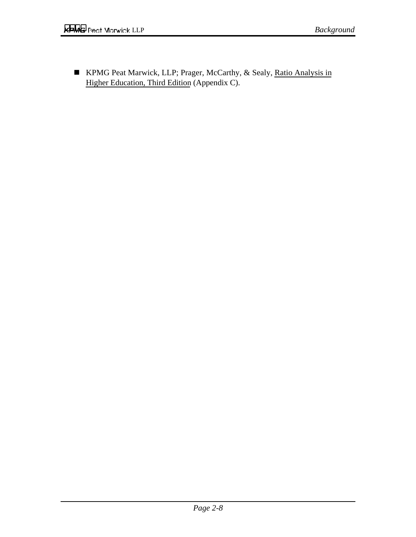■ KPMG Peat Marwick, LLP; Prager, McCarthy, & Sealy, Ratio Analysis in Higher Education, Third Edition (Appendix C).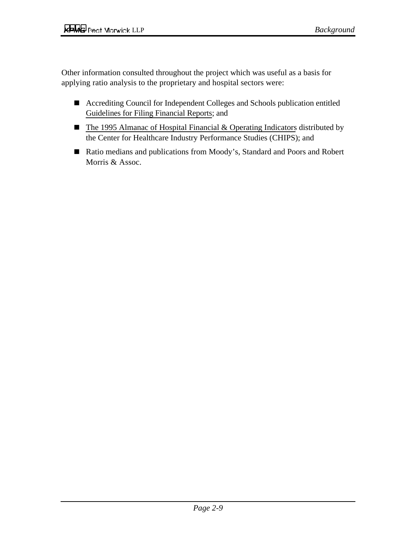Other information consulted throughout the project which was useful as a basis for applying ratio analysis to the proprietary and hospital sectors were:

- Accrediting Council for Independent Colleges and Schools publication entitled Guidelines for Filing Financial Reports; and
- The 1995 Almanac of Hospital Financial & Operating Indicators distributed by the Center for Healthcare Industry Performance Studies (CHIPS); and
- Ratio medians and publications from Moody's, Standard and Poors and Robert Morris & Assoc.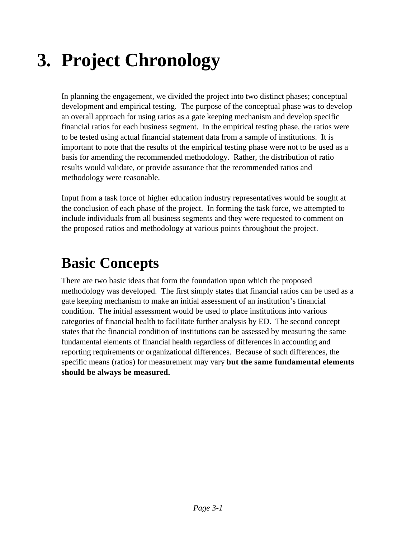# **3. Project Chronology**

In planning the engagement, we divided the project into two distinct phases; conceptual development and empirical testing. The purpose of the conceptual phase was to develop an overall approach for using ratios as a gate keeping mechanism and develop specific financial ratios for each business segment. In the empirical testing phase, the ratios were to be tested using actual financial statement data from a sample of institutions. It is important to note that the results of the empirical testing phase were not to be used as a basis for amending the recommended methodology. Rather, the distribution of ratio results would validate, or provide assurance that the recommended ratios and methodology were reasonable.

Input from a task force of higher education industry representatives would be sought at the conclusion of each phase of the project. In forming the task force, we attempted to include individuals from all business segments and they were requested to comment on the proposed ratios and methodology at various points throughout the project.

## **Basic Concepts**

There are two basic ideas that form the foundation upon which the proposed methodology was developed. The first simply states that financial ratios can be used as a gate keeping mechanism to make an initial assessment of an institution's financial condition. The initial assessment would be used to place institutions into various categories of financial health to facilitate further analysis by ED. The second concept states that the financial condition of institutions can be assessed by measuring the same fundamental elements of financial health regardless of differences in accounting and reporting requirements or organizational differences. Because of such differences, the specific means (ratios) for measurement may vary **but the same fundamental elements should be always be measured.**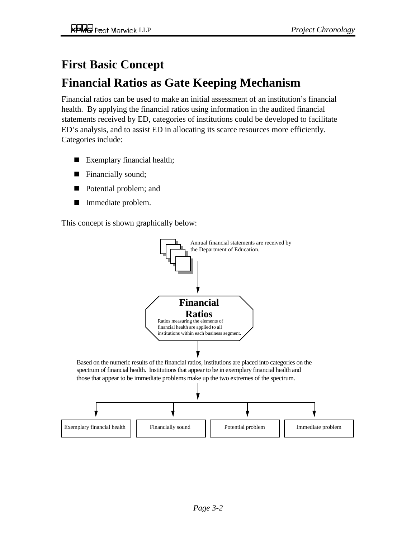## **First Basic Concept**

## **Financial Ratios as Gate Keeping Mechanism**

Financial ratios can be used to make an initial assessment of an institution's financial health. By applying the financial ratios using information in the audited financial statements received by ED, categories of institutions could be developed to facilitate ED's analysis, and to assist ED in allocating its scarce resources more efficiently. Categories include:

- Exemplary financial health;
- **Financially sound;**
- **Potential problem; and**
- $\blacksquare$ Immediate problem.

This concept is shown graphically below:

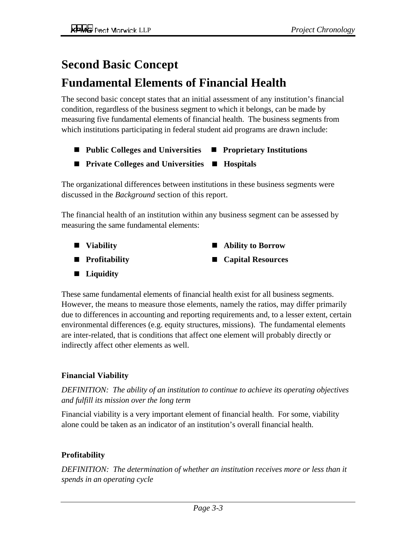## **Second Basic Concept**

## **Fundamental Elements of Financial Health**

The second basic concept states that an initial assessment of any institution's financial condition, regardless of the business segment to which it belongs, can be made by measuring five fundamental elements of financial health. The business segments from which institutions participating in federal student aid programs are drawn include:

- Public Colleges and Universities **Proprietary Institutions**
- **Private Colleges and Universities**  $\blacksquare$  **Hospitals**

The organizational differences between institutions in these business segments were discussed in the *Background* section of this report.

The financial health of an institution within any business segment can be assessed by measuring the same fundamental elements:

- **Viability Profitability Ability to Borrow Capital Resources**
- **Liquidity**

These same fundamental elements of financial health exist for all business segments. However, the means to measure those elements, namely the ratios, may differ primarily due to differences in accounting and reporting requirements and, to a lesser extent, certain environmental differences (e.g. equity structures, missions). The fundamental elements are inter-related, that is conditions that affect one element will probably directly or indirectly affect other elements as well.

#### **Financial Viability**

*DEFINITION: The ability of an institution to continue to achieve its operating objectives and fulfill its mission over the long term*

Financial viability is a very important element of financial health. For some, viability alone could be taken as an indicator of an institution's overall financial health.

#### **Profitability**

*DEFINITION: The determination of whether an institution receives more or less than it spends in an operating cycle*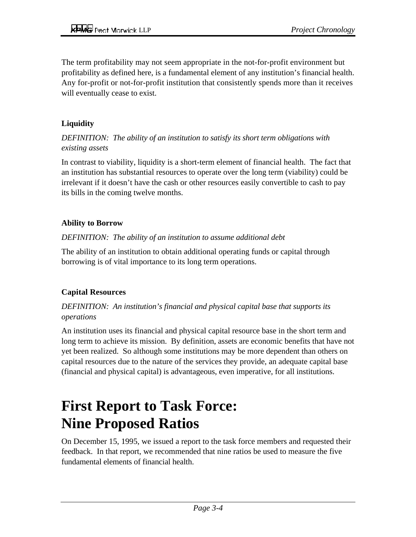The term profitability may not seem appropriate in the not-for-profit environment but profitability as defined here, is a fundamental element of any institution's financial health. Any for-profit or not-for-profit institution that consistently spends more than it receives will eventually cease to exist.

#### **Liquidity**

#### *DEFINITION: The ability of an institution to satisfy its short term obligations with existing assets*

In contrast to viability, liquidity is a short-term element of financial health. The fact that an institution has substantial resources to operate over the long term (viability) could be irrelevant if it doesn't have the cash or other resources easily convertible to cash to pay its bills in the coming twelve months.

#### **Ability to Borrow**

#### *DEFINITION: The ability of an institution to assume additional debt*

The ability of an institution to obtain additional operating funds or capital through borrowing is of vital importance to its long term operations.

#### **Capital Resources**

#### *DEFINITION: An institution's financial and physical capital base that supports its operations*

An institution uses its financial and physical capital resource base in the short term and long term to achieve its mission. By definition, assets are economic benefits that have not yet been realized. So although some institutions may be more dependent than others on capital resources due to the nature of the services they provide, an adequate capital base (financial and physical capital) is advantageous, even imperative, for all institutions.

## **First Report to Task Force: Nine Proposed Ratios**

On December 15, 1995, we issued a report to the task force members and requested their feedback. In that report, we recommended that nine ratios be used to measure the five fundamental elements of financial health.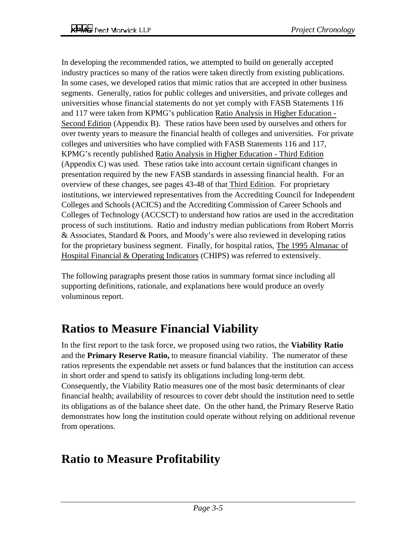In developing the recommended ratios, we attempted to build on generally accepted industry practices so many of the ratios were taken directly from existing publications. In some cases, we developed ratios that mimic ratios that are accepted in other business segments. Generally, ratios for public colleges and universities, and private colleges and universities whose financial statements do not yet comply with FASB Statements 116 and 117 were taken from KPMG's publication Ratio Analysis in Higher Education - Second Edition (Appendix B). These ratios have been used by ourselves and others for over twenty years to measure the financial health of colleges and universities. For private colleges and universities who have complied with FASB Statements 116 and 117, KPMG's recently published Ratio Analysis in Higher Education - Third Edition (Appendix C) was used. These ratios take into account certain significant changes in presentation required by the new FASB standards in assessing financial health. For an overview of these changes, see pages 43-48 of that Third Edition. For proprietary institutions, we interviewed representatives from the Accrediting Council for Independent Colleges and Schools (ACICS) and the Accrediting Commission of Career Schools and Colleges of Technology (ACCSCT) to understand how ratios are used in the accreditation process of such institutions. Ratio and industry median publications from Robert Morris & Associates, Standard & Poors, and Moody's were also reviewed in developing ratios for the proprietary business segment. Finally, for hospital ratios, The 1995 Almanac of Hospital Financial & Operating Indicators (CHIPS) was referred to extensively.

The following paragraphs present those ratios in summary format since including all supporting definitions, rationale, and explanations here would produce an overly voluminous report.

## **Ratios to Measure Financial Viability**

In the first report to the task force, we proposed using two ratios, the **Viability Ratio** and the **Primary Reserve Ratio,** to measure financial viability. The numerator of these ratios represents the expendable net assets or fund balances that the institution can access in short order and spend to satisfy its obligations including long-term debt. Consequently, the Viability Ratio measures one of the most basic determinants of clear financial health; availability of resources to cover debt should the institution need to settle its obligations as of the balance sheet date. On the other hand, the Primary Reserve Ratio demonstrates how long the institution could operate without relying on additional revenue from operations.

## **Ratio to Measure Profitability**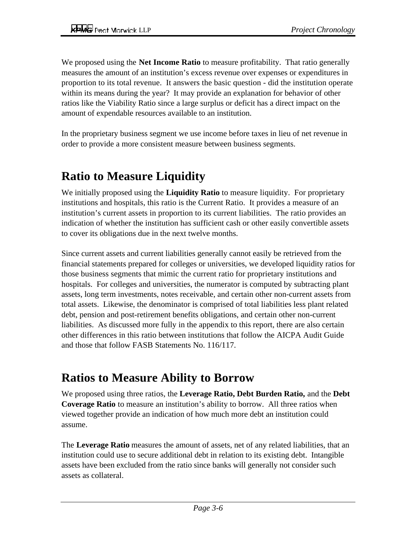We proposed using the **Net Income Ratio** to measure profitability. That ratio generally measures the amount of an institution's excess revenue over expenses or expenditures in proportion to its total revenue. It answers the basic question - did the institution operate within its means during the year? It may provide an explanation for behavior of other ratios like the Viability Ratio since a large surplus or deficit has a direct impact on the amount of expendable resources available to an institution.

In the proprietary business segment we use income before taxes in lieu of net revenue in order to provide a more consistent measure between business segments.

## **Ratio to Measure Liquidity**

We initially proposed using the **Liquidity Ratio** to measure liquidity. For proprietary institutions and hospitals, this ratio is the Current Ratio. It provides a measure of an institution's current assets in proportion to its current liabilities. The ratio provides an indication of whether the institution has sufficient cash or other easily convertible assets to cover its obligations due in the next twelve months.

Since current assets and current liabilities generally cannot easily be retrieved from the financial statements prepared for colleges or universities, we developed liquidity ratios for those business segments that mimic the current ratio for proprietary institutions and hospitals. For colleges and universities, the numerator is computed by subtracting plant assets, long term investments, notes receivable, and certain other non-current assets from total assets. Likewise, the denominator is comprised of total liabilities less plant related debt, pension and post-retirement benefits obligations, and certain other non-current liabilities. As discussed more fully in the appendix to this report, there are also certain other differences in this ratio between institutions that follow the AICPA Audit Guide and those that follow FASB Statements No. 116/117.

## **Ratios to Measure Ability to Borrow**

We proposed using three ratios, the **Leverage Ratio, Debt Burden Ratio,** and the **Debt Coverage Ratio** to measure an institution's ability to borrow. All three ratios when viewed together provide an indication of how much more debt an institution could assume.

The **Leverage Ratio** measures the amount of assets, net of any related liabilities, that an institution could use to secure additional debt in relation to its existing debt. Intangible assets have been excluded from the ratio since banks will generally not consider such assets as collateral.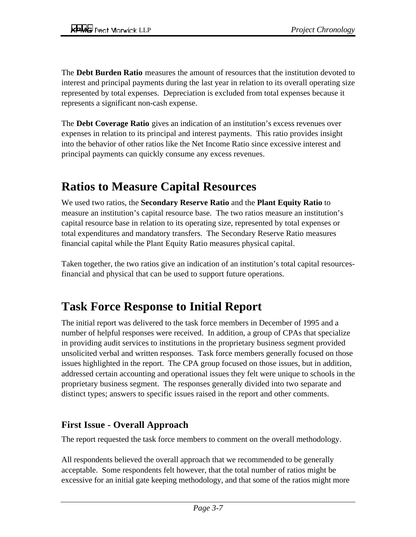The **Debt Burden Ratio** measures the amount of resources that the institution devoted to interest and principal payments during the last year in relation to its overall operating size represented by total expenses. Depreciation is excluded from total expenses because it represents a significant non-cash expense.

The **Debt Coverage Ratio** gives an indication of an institution's excess revenues over expenses in relation to its principal and interest payments. This ratio provides insight into the behavior of other ratios like the Net Income Ratio since excessive interest and principal payments can quickly consume any excess revenues.

## **Ratios to Measure Capital Resources**

We used two ratios, the **Secondary Reserve Ratio** and the **Plant Equity Ratio** to measure an institution's capital resource base. The two ratios measure an institution's capital resource base in relation to its operating size, represented by total expenses or total expenditures and mandatory transfers. The Secondary Reserve Ratio measures financial capital while the Plant Equity Ratio measures physical capital.

Taken together, the two ratios give an indication of an institution's total capital resourcesfinancial and physical that can be used to support future operations.

### **Task Force Response to Initial Report**

The initial report was delivered to the task force members in December of 1995 and a number of helpful responses were received. In addition, a group of CPAs that specialize in providing audit services to institutions in the proprietary business segment provided unsolicited verbal and written responses. Task force members generally focused on those issues highlighted in the report. The CPA group focused on those issues, but in addition, addressed certain accounting and operational issues they felt were unique to schools in the proprietary business segment. The responses generally divided into two separate and distinct types; answers to specific issues raised in the report and other comments.

#### **First Issue - Overall Approach**

The report requested the task force members to comment on the overall methodology.

All respondents believed the overall approach that we recommended to be generally acceptable. Some respondents felt however, that the total number of ratios might be excessive for an initial gate keeping methodology, and that some of the ratios might more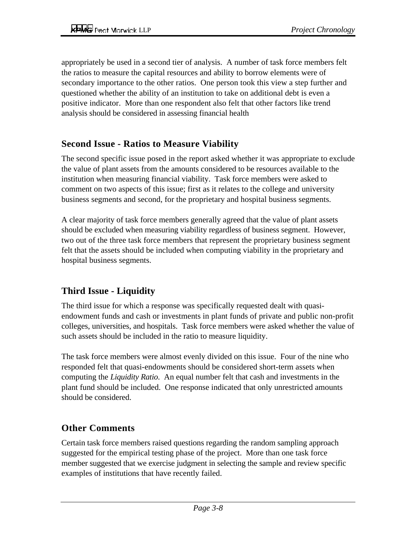appropriately be used in a second tier of analysis. A number of task force members felt the ratios to measure the capital resources and ability to borrow elements were of secondary importance to the other ratios. One person took this view a step further and questioned whether the ability of an institution to take on additional debt is even a positive indicator. More than one respondent also felt that other factors like trend analysis should be considered in assessing financial health

#### **Second Issue - Ratios to Measure Viability**

The second specific issue posed in the report asked whether it was appropriate to exclude the value of plant assets from the amounts considered to be resources available to the institution when measuring financial viability. Task force members were asked to comment on two aspects of this issue; first as it relates to the college and university business segments and second, for the proprietary and hospital business segments.

A clear majority of task force members generally agreed that the value of plant assets should be excluded when measuring viability regardless of business segment. However, two out of the three task force members that represent the proprietary business segment felt that the assets should be included when computing viability in the proprietary and hospital business segments.

#### **Third Issue - Liquidity**

The third issue for which a response was specifically requested dealt with quasiendowment funds and cash or investments in plant funds of private and public non-profit colleges, universities, and hospitals. Task force members were asked whether the value of such assets should be included in the ratio to measure liquidity.

The task force members were almost evenly divided on this issue. Four of the nine who responded felt that quasi-endowments should be considered short-term assets when computing the *Liquidity Ratio*. An equal number felt that cash and investments in the plant fund should be included. One response indicated that only unrestricted amounts should be considered.

#### **Other Comments**

Certain task force members raised questions regarding the random sampling approach suggested for the empirical testing phase of the project. More than one task force member suggested that we exercise judgment in selecting the sample and review specific examples of institutions that have recently failed.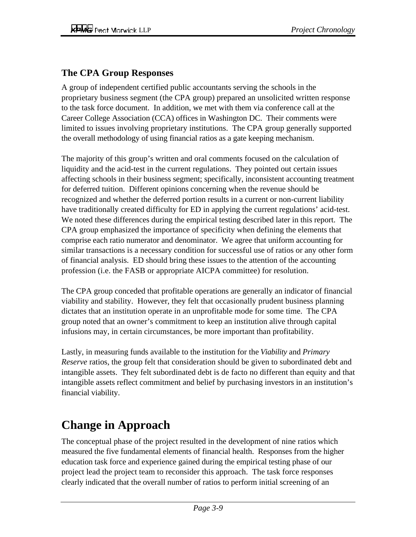#### **The CPA Group Responses**

A group of independent certified public accountants serving the schools in the proprietary business segment (the CPA group) prepared an unsolicited written response to the task force document. In addition, we met with them via conference call at the Career College Association (CCA) offices in Washington DC. Their comments were limited to issues involving proprietary institutions. The CPA group generally supported the overall methodology of using financial ratios as a gate keeping mechanism.

The majority of this group's written and oral comments focused on the calculation of liquidity and the acid-test in the current regulations. They pointed out certain issues affecting schools in their business segment; specifically, inconsistent accounting treatment for deferred tuition. Different opinions concerning when the revenue should be recognized and whether the deferred portion results in a current or non-current liability have traditionally created difficulty for ED in applying the current regulations' acid-test. We noted these differences during the empirical testing described later in this report. The CPA group emphasized the importance of specificity when defining the elements that comprise each ratio numerator and denominator. We agree that uniform accounting for similar transactions is a necessary condition for successful use of ratios or any other form of financial analysis. ED should bring these issues to the attention of the accounting profession (i.e. the FASB or appropriate AICPA committee) for resolution.

The CPA group conceded that profitable operations are generally an indicator of financial viability and stability. However, they felt that occasionally prudent business planning dictates that an institution operate in an unprofitable mode for some time. The CPA group noted that an owner's commitment to keep an institution alive through capital infusions may, in certain circumstances, be more important than profitability.

Lastly, in measuring funds available to the institution for the *Viability* and *Primary Reserve* ratios, the group felt that consideration should be given to subordinated debt and intangible assets. They felt subordinated debt is de facto no different than equity and that intangible assets reflect commitment and belief by purchasing investors in an institution's financial viability.

## **Change in Approach**

The conceptual phase of the project resulted in the development of nine ratios which measured the five fundamental elements of financial health. Responses from the higher education task force and experience gained during the empirical testing phase of our project lead the project team to reconsider this approach. The task force responses clearly indicated that the overall number of ratios to perform initial screening of an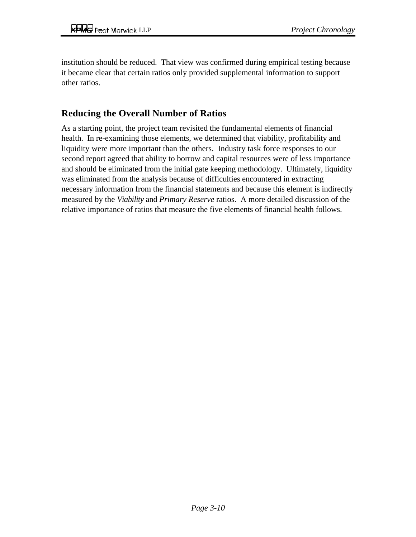institution should be reduced. That view was confirmed during empirical testing because it became clear that certain ratios only provided supplemental information to support other ratios.

#### **Reducing the Overall Number of Ratios**

As a starting point, the project team revisited the fundamental elements of financial health. In re-examining those elements, we determined that viability, profitability and liquidity were more important than the others. Industry task force responses to our second report agreed that ability to borrow and capital resources were of less importance and should be eliminated from the initial gate keeping methodology. Ultimately, liquidity was eliminated from the analysis because of difficulties encountered in extracting necessary information from the financial statements and because this element is indirectly measured by the *Viability* and *Primary Reserve* ratios. A more detailed discussion of the relative importance of ratios that measure the five elements of financial health follows.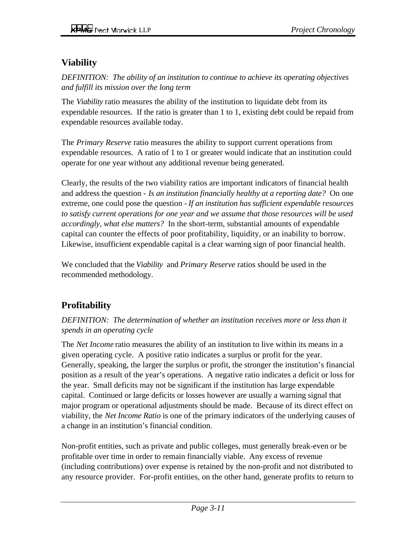#### **Viability**

*DEFINITION: The ability of an institution to continue to achieve its operating objectives and fulfill its mission over the long term*

The *Viability* ratio measures the ability of the institution to liquidate debt from its expendable resources. If the ratio is greater than 1 to 1, existing debt could be repaid from expendable resources available today.

The *Primary Reserve* ratio measures the ability to support current operations from expendable resources. A ratio of 1 to 1 or greater would indicate that an institution could operate for one year without any additional revenue being generated.

Clearly, the results of the two viability ratios are important indicators of financial health and address the question - *Is an institution financially healthy at a reporting date?* On one extreme, one could pose the question - *If an institution has sufficient expendable resources to satisfy current operations for one year and we assume that those resources will be used accordingly, what else matters?* In the short-term, substantial amounts of expendable capital can counter the effects of poor profitability, liquidity, or an inability to borrow. Likewise, insufficient expendable capital is a clear warning sign of poor financial health.

We concluded that the *Viability* and *Primary Reserve* ratios should be used in the recommended methodology.

#### **Profitability**

#### *DEFINITION: The determination of whether an institution receives more or less than it spends in an operating cycle*

The *Net Income* ratio measures the ability of an institution to live within its means in a given operating cycle. A positive ratio indicates a surplus or profit for the year. Generally, speaking, the larger the surplus or profit, the stronger the institution's financial position as a result of the year's operations. A negative ratio indicates a deficit or loss for the year. Small deficits may not be significant if the institution has large expendable capital. Continued or large deficits or losses however are usually a warning signal that major program or operational adjustments should be made. Because of its direct effect on viability, the *Net Income Ratio* is one of the primary indicators of the underlying causes of a change in an institution's financial condition.

Non-profit entities, such as private and public colleges, must generally break-even or be profitable over time in order to remain financially viable. Any excess of revenue (including contributions) over expense is retained by the non-profit and not distributed to any resource provider. For-profit entities, on the other hand, generate profits to return to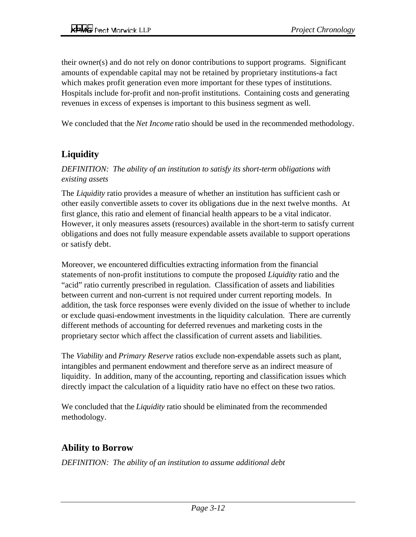their owner(s) and do not rely on donor contributions to support programs. Significant amounts of expendable capital may not be retained by proprietary institutions-a fact which makes profit generation even more important for these types of institutions. Hospitals include for-profit and non-profit institutions. Containing costs and generating revenues in excess of expenses is important to this business segment as well.

We concluded that the *Net Income* ratio should be used in the recommended methodology.

#### **Liquidity**

*DEFINITION: The ability of an institution to satisfy its short-term obligations with existing assets*

The *Liquidity* ratio provides a measure of whether an institution has sufficient cash or other easily convertible assets to cover its obligations due in the next twelve months. At first glance, this ratio and element of financial health appears to be a vital indicator. However, it only measures assets (resources) available in the short-term to satisfy current obligations and does not fully measure expendable assets available to support operations or satisfy debt.

Moreover, we encountered difficulties extracting information from the financial statements of non-profit institutions to compute the proposed *Liquidity* ratio and the "acid" ratio currently prescribed in regulation. Classification of assets and liabilities between current and non-current is not required under current reporting models. In addition, the task force responses were evenly divided on the issue of whether to include or exclude quasi-endowment investments in the liquidity calculation. There are currently different methods of accounting for deferred revenues and marketing costs in the proprietary sector which affect the classification of current assets and liabilities.

The *Viability* and *Primary Reserve* ratios exclude non-expendable assets such as plant, intangibles and permanent endowment and therefore serve as an indirect measure of liquidity. In addition, many of the accounting, reporting and classification issues which directly impact the calculation of a liquidity ratio have no effect on these two ratios.

We concluded that the *Liquidity* ratio should be eliminated from the recommended methodology.

#### **Ability to Borrow**

*DEFINITION: The ability of an institution to assume additional debt*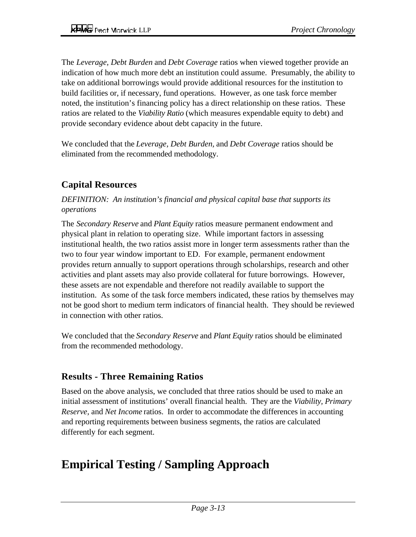The *Leverage, Debt Burden* and *Debt Coverage* ratios when viewed together provide an indication of how much more debt an institution could assume. Presumably, the ability to take on additional borrowings would provide additional resources for the institution to build facilities or, if necessary, fund operations. However, as one task force member noted, the institution's financing policy has a direct relationship on these ratios. These ratios are related to the *Viability Ratio* (which measures expendable equity to debt) and provide secondary evidence about debt capacity in the future.

We concluded that the *Leverage, Debt Burden,* and *Debt Coverage* ratios should be eliminated from the recommended methodology.

#### **Capital Resources**

#### *DEFINITION: An institution's financial and physical capital base that supports its operations*

The *Secondary Reserve* and *Plant Equity* ratios measure permanent endowment and physical plant in relation to operating size. While important factors in assessing institutional health, the two ratios assist more in longer term assessments rather than the two to four year window important to ED. For example, permanent endowment provides return annually to support operations through scholarships, research and other activities and plant assets may also provide collateral for future borrowings. However, these assets are not expendable and therefore not readily available to support the institution. As some of the task force members indicated, these ratios by themselves may not be good short to medium term indicators of financial health. They should be reviewed in connection with other ratios.

We concluded that the *Secondary Reserve* and *Plant Equity* ratios should be eliminated from the recommended methodology.

#### **Results - Three Remaining Ratios**

Based on the above analysis, we concluded that three ratios should be used to make an initial assessment of institutions' overall financial health. They are the *Viability, Primary Reserve,* and *Net Income* ratios. In order to accommodate the differences in accounting and reporting requirements between business segments, the ratios are calculated differently for each segment.

## **Empirical Testing / Sampling Approach**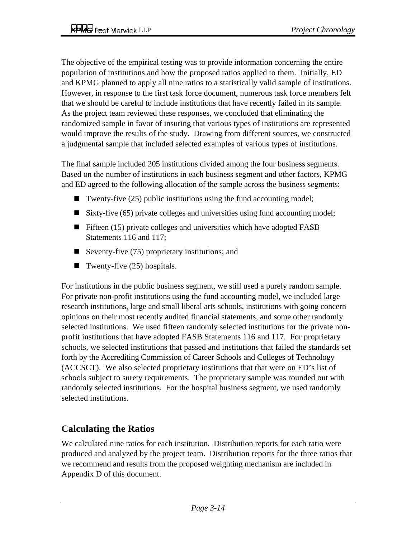The objective of the empirical testing was to provide information concerning the entire population of institutions and how the proposed ratios applied to them. Initially, ED and KPMG planned to apply all nine ratios to a statistically valid sample of institutions. However, in response to the first task force document, numerous task force members felt that we should be careful to include institutions that have recently failed in its sample. As the project team reviewed these responses, we concluded that eliminating the randomized sample in favor of insuring that various types of institutions are represented would improve the results of the study. Drawing from different sources, we constructed a judgmental sample that included selected examples of various types of institutions.

The final sample included 205 institutions divided among the four business segments. Based on the number of institutions in each business segment and other factors, KPMG and ED agreed to the following allocation of the sample across the business segments:

- Twenty-five  $(25)$  public institutions using the fund accounting model;
- Sixty-five  $(65)$  private colleges and universities using fund accounting model;
- **Fifteen** (15) private colleges and universities which have adopted FASB Statements 116 and 117;
- Seventy-five  $(75)$  proprietary institutions; and
- Twenty-five  $(25)$  hospitals.

For institutions in the public business segment, we still used a purely random sample. For private non-profit institutions using the fund accounting model, we included large research institutions, large and small liberal arts schools, institutions with going concern opinions on their most recently audited financial statements, and some other randomly selected institutions. We used fifteen randomly selected institutions for the private nonprofit institutions that have adopted FASB Statements 116 and 117. For proprietary schools, we selected institutions that passed and institutions that failed the standards set forth by the Accrediting Commission of Career Schools and Colleges of Technology (ACCSCT). We also selected proprietary institutions that that were on ED's list of schools subject to surety requirements. The proprietary sample was rounded out with randomly selected institutions. For the hospital business segment, we used randomly selected institutions.

#### **Calculating the Ratios**

We calculated nine ratios for each institution. Distribution reports for each ratio were produced and analyzed by the project team. Distribution reports for the three ratios that we recommend and results from the proposed weighting mechanism are included in Appendix D of this document.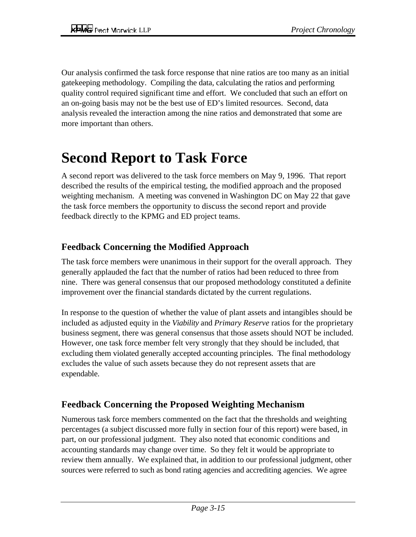Our analysis confirmed the task force response that nine ratios are too many as an initial gatekeeping methodology. Compiling the data, calculating the ratios and performing quality control required significant time and effort. We concluded that such an effort on an on-going basis may not be the best use of ED's limited resources. Second, data analysis revealed the interaction among the nine ratios and demonstrated that some are more important than others.

## **Second Report to Task Force**

A second report was delivered to the task force members on May 9, 1996. That report described the results of the empirical testing, the modified approach and the proposed weighting mechanism. A meeting was convened in Washington DC on May 22 that gave the task force members the opportunity to discuss the second report and provide feedback directly to the KPMG and ED project teams.

#### **Feedback Concerning the Modified Approach**

The task force members were unanimous in their support for the overall approach. They generally applauded the fact that the number of ratios had been reduced to three from nine. There was general consensus that our proposed methodology constituted a definite improvement over the financial standards dictated by the current regulations.

In response to the question of whether the value of plant assets and intangibles should be included as adjusted equity in the *Viability* and *Primary Reserve* ratios for the proprietary business segment, there was general consensus that those assets should NOT be included. However, one task force member felt very strongly that they should be included, that excluding them violated generally accepted accounting principles. The final methodology excludes the value of such assets because they do not represent assets that are expendable.

#### **Feedback Concerning the Proposed Weighting Mechanism**

Numerous task force members commented on the fact that the thresholds and weighting percentages (a subject discussed more fully in section four of this report) were based, in part, on our professional judgment. They also noted that economic conditions and accounting standards may change over time. So they felt it would be appropriate to review them annually. We explained that, in addition to our professional judgment, other sources were referred to such as bond rating agencies and accrediting agencies. We agree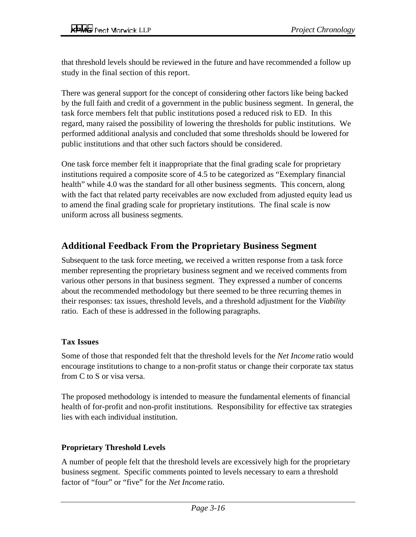that threshold levels should be reviewed in the future and have recommended a follow up study in the final section of this report.

There was general support for the concept of considering other factors like being backed by the full faith and credit of a government in the public business segment. In general, the task force members felt that public institutions posed a reduced risk to ED. In this regard, many raised the possibility of lowering the thresholds for public institutions. We performed additional analysis and concluded that some thresholds should be lowered for public institutions and that other such factors should be considered.

One task force member felt it inappropriate that the final grading scale for proprietary institutions required a composite score of 4.5 to be categorized as "Exemplary financial health" while 4.0 was the standard for all other business segments. This concern, along with the fact that related party receivables are now excluded from adjusted equity lead us to amend the final grading scale for proprietary institutions. The final scale is now uniform across all business segments.

#### **Additional Feedback From the Proprietary Business Segment**

Subsequent to the task force meeting, we received a written response from a task force member representing the proprietary business segment and we received comments from various other persons in that business segment. They expressed a number of concerns about the recommended methodology but there seemed to be three recurring themes in their responses: tax issues, threshold levels, and a threshold adjustment for the *Viability* ratio. Each of these is addressed in the following paragraphs.

#### **Tax Issues**

Some of those that responded felt that the threshold levels for the *Net Income* ratio would encourage institutions to change to a non-profit status or change their corporate tax status from C to S or visa versa.

The proposed methodology is intended to measure the fundamental elements of financial health of for-profit and non-profit institutions. Responsibility for effective tax strategies lies with each individual institution.

#### **Proprietary Threshold Levels**

A number of people felt that the threshold levels are excessively high for the proprietary business segment. Specific comments pointed to levels necessary to earn a threshold factor of "four" or "five" for the *Net Income* ratio.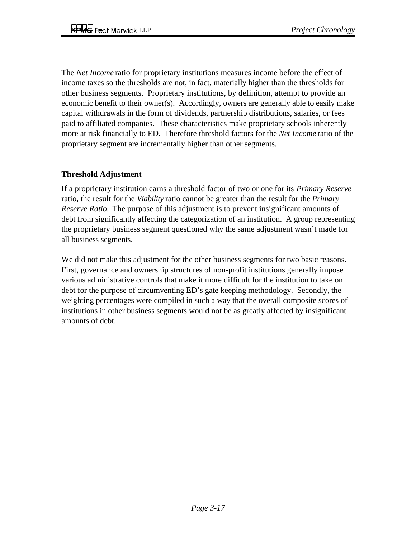The *Net Income* ratio for proprietary institutions measures income before the effect of income taxes so the thresholds are not, in fact, materially higher than the thresholds for other business segments. Proprietary institutions, by definition, attempt to provide an economic benefit to their owner(s). Accordingly, owners are generally able to easily make capital withdrawals in the form of dividends, partnership distributions, salaries, or fees paid to affiliated companies. These characteristics make proprietary schools inherently more at risk financially to ED. Therefore threshold factors for the *Net Income* ratio of the proprietary segment are incrementally higher than other segments.

#### **Threshold Adjustment**

If a proprietary institution earns a threshold factor of two or one for its *Primary Reserve* ratio, the result for the *Viability* ratio cannot be greater than the result for the *Primary Reserve Ratio.* The purpose of this adjustment is to prevent insignificant amounts of debt from significantly affecting the categorization of an institution. A group representing the proprietary business segment questioned why the same adjustment wasn't made for all business segments.

We did not make this adjustment for the other business segments for two basic reasons. First, governance and ownership structures of non-profit institutions generally impose various administrative controls that make it more difficult for the institution to take on debt for the purpose of circumventing ED's gate keeping methodology. Secondly, the weighting percentages were compiled in such a way that the overall composite scores of institutions in other business segments would not be as greatly affected by insignificant amounts of debt.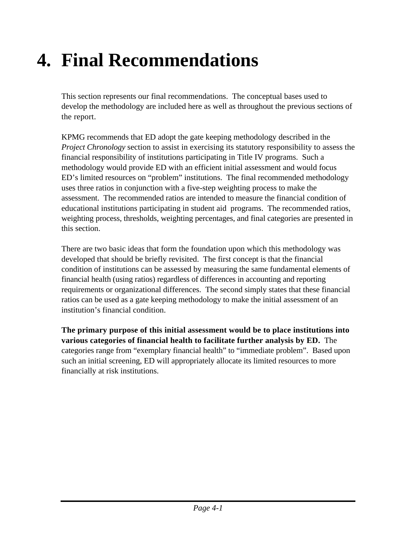# **4. Final Recommendations**

This section represents our final recommendations. The conceptual bases used to develop the methodology are included here as well as throughout the previous sections of the report.

KPMG recommends that ED adopt the gate keeping methodology described in the *Project Chronology* section to assist in exercising its statutory responsibility to assess the financial responsibility of institutions participating in Title IV programs. Such a methodology would provide ED with an efficient initial assessment and would focus ED's limited resources on "problem" institutions. The final recommended methodology uses three ratios in conjunction with a five-step weighting process to make the assessment. The recommended ratios are intended to measure the financial condition of educational institutions participating in student aid programs. The recommended ratios, weighting process, thresholds, weighting percentages, and final categories are presented in this section.

There are two basic ideas that form the foundation upon which this methodology was developed that should be briefly revisited. The first concept is that the financial condition of institutions can be assessed by measuring the same fundamental elements of financial health (using ratios) regardless of differences in accounting and reporting requirements or organizational differences. The second simply states that these financial ratios can be used as a gate keeping methodology to make the initial assessment of an institution's financial condition.

**The primary purpose of this initial assessment would be to place institutions into various categories of financial health to facilitate further analysis by ED.** The categories range from "exemplary financial health" to "immediate problem". Based upon such an initial screening, ED will appropriately allocate its limited resources to more financially at risk institutions.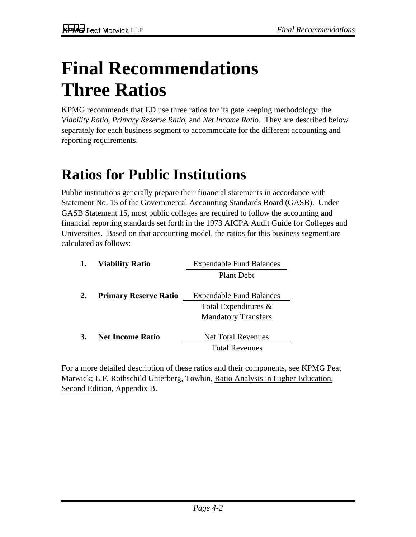# **Final Recommendations Three Ratios**

KPMG recommends that ED use three ratios for its gate keeping methodology: the *Viability Ratio, Primary Reserve Ratio*, and *Net Income Ratio.* They are described below separately for each business segment to accommodate for the different accounting and reporting requirements.

## **Ratios for Public Institutions**

Public institutions generally prepare their financial statements in accordance with Statement No. 15 of the Governmental Accounting Standards Board (GASB). Under GASB Statement 15, most public colleges are required to follow the accounting and financial reporting standards set forth in the 1973 AICPA Audit Guide for Colleges and Universities. Based on that accounting model, the ratios for this business segment are calculated as follows:

|    | <b>Viability Ratio</b>       | <b>Expendable Fund Balances</b> |
|----|------------------------------|---------------------------------|
|    |                              | <b>Plant Debt</b>               |
|    | <b>Primary Reserve Ratio</b> | <b>Expendable Fund Balances</b> |
|    |                              | Total Expenditures $\&$         |
|    |                              | <b>Mandatory Transfers</b>      |
| 3. | <b>Net Income Ratio</b>      | <b>Net Total Revenues</b>       |
|    |                              | <b>Total Revenues</b>           |

For a more detailed description of these ratios and their components, see KPMG Peat Marwick; L.F. Rothschild Unterberg, Towbin, Ratio Analysis in Higher Education, Second Edition, Appendix B.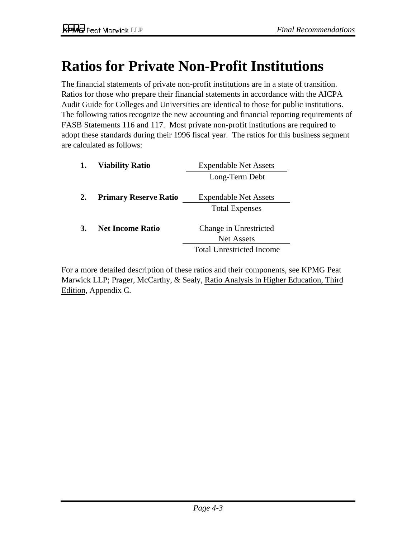## **Ratios for Private Non-Profit Institutions**

The financial statements of private non-profit institutions are in a state of transition. Ratios for those who prepare their financial statements in accordance with the AICPA Audit Guide for Colleges and Universities are identical to those for public institutions. The following ratios recognize the new accounting and financial reporting requirements of FASB Statements 116 and 117. Most private non-profit institutions are required to adopt these standards during their 1996 fiscal year. The ratios for this business segment are calculated as follows:

|    | <b>Viability Ratio</b>       | <b>Expendable Net Assets</b>                |
|----|------------------------------|---------------------------------------------|
|    |                              | Long-Term Debt                              |
| 2. | <b>Primary Reserve Ratio</b> | <b>Expendable Net Assets</b>                |
|    |                              | <b>Total Expenses</b>                       |
|    | <b>Net Income Ratio</b>      | Change in Unrestricted<br><b>Net Assets</b> |
|    |                              | <b>Total Unrestricted Income</b>            |

For a more detailed description of these ratios and their components, see KPMG Peat Marwick LLP; Prager, McCarthy, & Sealy, Ratio Analysis in Higher Education, Third Edition, Appendix C.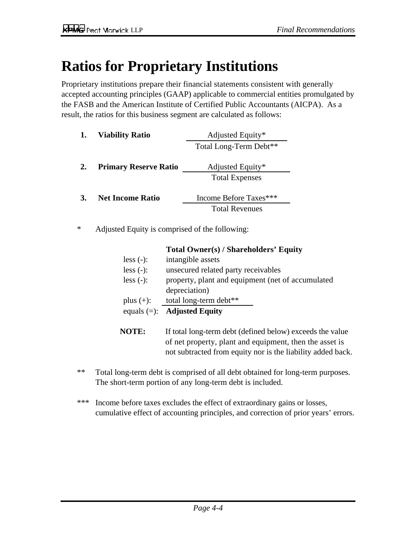## **Ratios for Proprietary Institutions**

Proprietary institutions prepare their financial statements consistent with generally accepted accounting principles (GAAP) applicable to commercial entities promulgated by the FASB and the American Institute of Certified Public Accountants (AICPA). As a result, the ratios for this business segment are calculated as follows:

| 1. | <b>Viability Ratio</b>       | Adjusted Equity*                          |
|----|------------------------------|-------------------------------------------|
|    |                              | Total Long-Term Debt**                    |
| 2. | <b>Primary Reserve Ratio</b> | Adjusted Equity*<br><b>Total Expenses</b> |
| 3. | <b>Net Income Ratio</b>      | Income Before Taxes***                    |
|    |                              | <b>Total Revenues</b>                     |

\* Adjusted Equity is comprised of the following:

|              | Total Owner(s) / Shareholders Equity                      |
|--------------|-----------------------------------------------------------|
| $less (-):$  | intangible assets                                         |
| $less (-):$  | unsecured related party receivables                       |
| less $(-)$ : | property, plant and equipment (net of accumulated         |
|              | depreciation)                                             |
| plus $(+)$ : | total long-term debt**                                    |
|              | equals $(=):$ <b>Adjusted Equity</b>                      |
| <b>NOTE:</b> | If total long-term debt (defined below) exceeds the value |

**Total Owner(s) / Shareholders' Equity**

- **NOTE:** If total long-term debt (defined below) exceeds the value of net property, plant and equipment, then the asset is not subtracted from equity nor is the liability added back.
- \*\* Total long-term debt is comprised of all debt obtained for long-term purposes. The short-term portion of any long-term debt is included.
- \*\*\* Income before taxes excludes the effect of extraordinary gains or losses, cumulative effect of accounting principles, and correction of prior years' errors.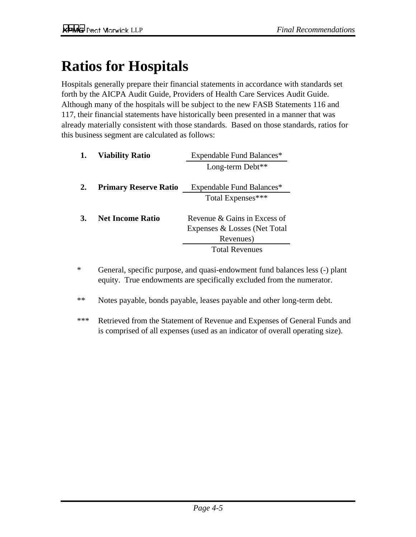## **Ratios for Hospitals**

Hospitals generally prepare their financial statements in accordance with standards set forth by the AICPA Audit Guide, Providers of Health Care Services Audit Guide. Although many of the hospitals will be subject to the new FASB Statements 116 and 117, their financial statements have historically been presented in a manner that was already materially consistent with those standards. Based on those standards, ratios for this business segment are calculated as follows:

| <b>Viability Ratio</b>       | Expendable Fund Balances*    |  |
|------------------------------|------------------------------|--|
|                              | Long-term Debt**             |  |
| <b>Primary Reserve Ratio</b> | Expendable Fund Balances*    |  |
|                              | Total Expenses***            |  |
| <b>Net Income Ratio</b>      | Revenue & Gains in Excess of |  |
|                              | Expenses & Losses (Net Total |  |
|                              | Revenues)                    |  |
|                              | <b>Total Revenues</b>        |  |
|                              |                              |  |

- \* General, specific purpose, and quasi-endowment fund balances less (-) plant equity. True endowments are specifically excluded from the numerator.
- \*\* Notes payable, bonds payable, leases payable and other long-term debt.
- \*\*\* Retrieved from the Statement of Revenue and Expenses of General Funds and is comprised of all expenses (used as an indicator of overall operating size).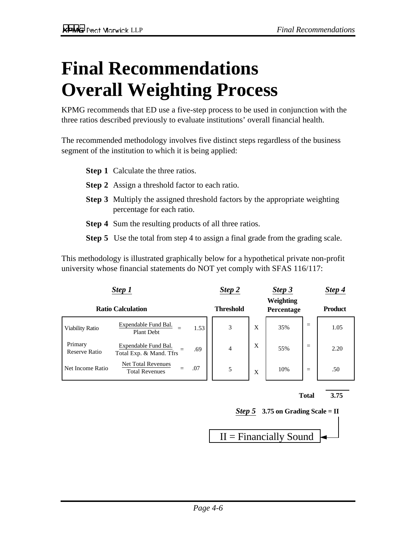# **Final Recommendations Overall Weighting Process**

KPMG recommends that ED use a five-step process to be used in conjunction with the three ratios described previously to evaluate institutions' overall financial health.

The recommended methodology involves five distinct steps regardless of the business segment of the institution to which it is being applied:

- **Step 1** Calculate the three ratios.
- **Step 2** Assign a threshold factor to each ratio.
- **Step 3** Multiply the assigned threshold factors by the appropriate weighting percentage for each ratio.
- **Step 4** Sum the resulting products of all three ratios.
- **Step 5** Use the total from step 4 to assign a final grade from the grading scale.

This methodology is illustrated graphically below for a hypothetical private non-profit university whose financial statements do NOT yet comply with SFAS 116/117:

| Step 1                   |                                                    |      | Step 2           |   | Step 3                  |     | Step 4         |
|--------------------------|----------------------------------------------------|------|------------------|---|-------------------------|-----|----------------|
| <b>Ratio Calculation</b> |                                                    |      | <b>Threshold</b> |   | Weighting<br>Percentage |     | <b>Product</b> |
| <b>Viability Ratio</b>   | Expendable Fund Bal.<br>Plant Debt                 | 1.53 | 3                | X | 35%                     | $=$ | 1.05           |
| Primary<br>Reserve Ratio | Expendable Fund Bal.<br>Total Exp. & Mand. Tfrs    | .69  | $\overline{4}$   | X | 55%                     | $=$ | 2.20           |
| Net Income Ratio         | <b>Net Total Revenues</b><br><b>Total Revenues</b> | .07  | 5                | X | 10%                     | $=$ | .50            |





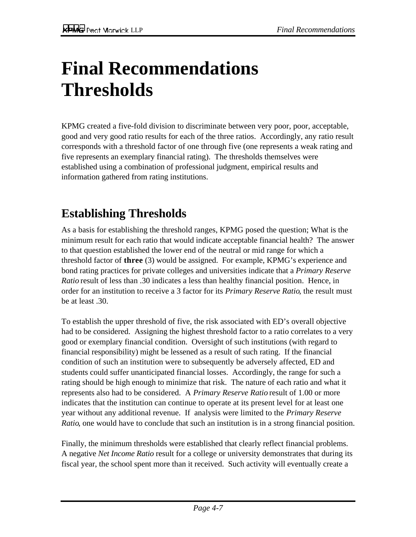# **Final Recommendations Thresholds**

KPMG created a five-fold division to discriminate between very poor, poor, acceptable, good and very good ratio results for each of the three ratios. Accordingly, any ratio result corresponds with a threshold factor of one through five (one represents a weak rating and five represents an exemplary financial rating). The thresholds themselves were established using a combination of professional judgment, empirical results and information gathered from rating institutions.

## **Establishing Thresholds**

As a basis for establishing the threshold ranges, KPMG posed the question; What is the minimum result for each ratio that would indicate acceptable financial health? The answer to that question established the lower end of the neutral or mid range for which a threshold factor of **three** (3) would be assigned. For example, KPMG's experience and bond rating practices for private colleges and universities indicate that a *Primary Reserve Ratio* result of less than .30 indicates a less than healthy financial position. Hence, in order for an institution to receive a 3 factor for its *Primary Reserve Ratio*, the result must be at least .30.

To establish the upper threshold of five, the risk associated with ED's overall objective had to be considered. Assigning the highest threshold factor to a ratio correlates to a very good or exemplary financial condition. Oversight of such institutions (with regard to financial responsibility) might be lessened as a result of such rating. If the financial condition of such an institution were to subsequently be adversely affected, ED and students could suffer unanticipated financial losses. Accordingly, the range for such a rating should be high enough to minimize that risk. The nature of each ratio and what it represents also had to be considered. A *Primary Reserve Ratio* result of 1.00 or more indicates that the institution can continue to operate at its present level for at least one year without any additional revenue. If analysis were limited to the *Primary Reserve Ratio*, one would have to conclude that such an institution is in a strong financial position.

Finally, the minimum thresholds were established that clearly reflect financial problems. A negative *Net Income Ratio* result for a college or university demonstrates that during its fiscal year, the school spent more than it received. Such activity will eventually create a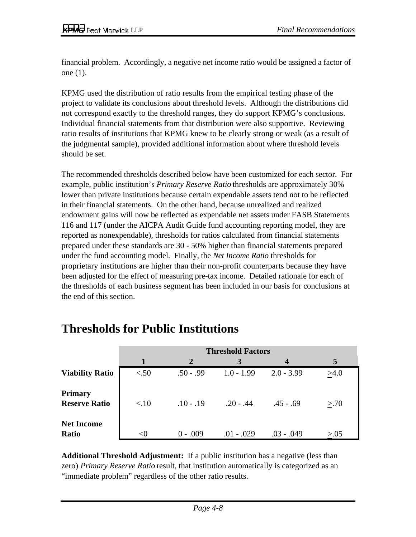financial problem. Accordingly, a negative net income ratio would be assigned a factor of one (1).

KPMG used the distribution of ratio results from the empirical testing phase of the project to validate its conclusions about threshold levels. Although the distributions did not correspond exactly to the threshold ranges, they do support KPMG's conclusions. Individual financial statements from that distribution were also supportive. Reviewing ratio results of institutions that KPMG knew to be clearly strong or weak (as a result of the judgmental sample), provided additional information about where threshold levels should be set.

The recommended thresholds described below have been customized for each sector. For example, public institution's *Primary Reserve Ratio* thresholds are approximately 30% lower than private institutions because certain expendable assets tend not to be reflected in their financial statements. On the other hand, because unrealized and realized endowment gains will now be reflected as expendable net assets under FASB Statements 116 and 117 (under the AICPA Audit Guide fund accounting reporting model, they are reported as nonexpendable), thresholds for ratios calculated from financial statements prepared under these standards are 30 - 50% higher than financial statements prepared under the fund accounting model. Finally, the *Net Income Ratio* thresholds for proprietary institutions are higher than their non-profit counterparts because they have been adjusted for the effect of measuring pre-tax income. Detailed rationale for each of the thresholds of each business segment has been included in our basis for conclusions at the end of this section.

|                                        | <b>Threshold Factors</b> |                |              |                  |        |  |
|----------------------------------------|--------------------------|----------------|--------------|------------------|--------|--|
|                                        | 1                        | $\overline{2}$ | 3            | $\boldsymbol{4}$ | 5      |  |
| <b>Viability Ratio</b>                 | < .50                    | $.50 - .99$    | $1.0 - 1.99$ | $2.0 - 3.99$     | >4.0   |  |
| <b>Primary</b><br><b>Reserve Ratio</b> | < 10                     | $.10 - .19$    | $.20 - .44$  | $.45 - .69$      | > 70   |  |
| <b>Net Income</b><br><b>Ratio</b>      | $<$ 0                    | $0 - .009$     | $.01 - .029$ | .03 - .049       | > 0.05 |  |

### **Thresholds for Public Institutions**

**Additional Threshold Adjustment:** If a public institution has a negative (less than zero) *Primary Reserve Ratio* result, that institution automatically is categorized as an "immediate problem" regardless of the other ratio results.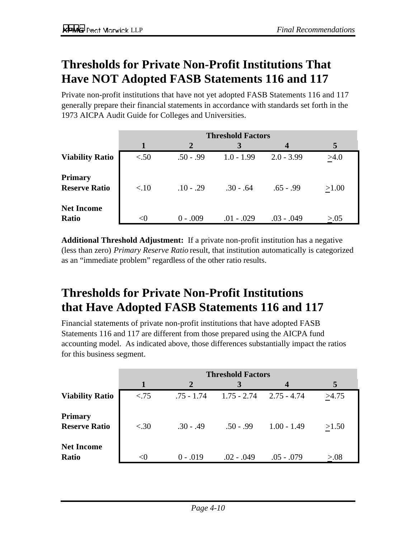## **Thresholds for Private Non-Profit Institutions That Have NOT Adopted FASB Statements 116 and 117**

Private non-profit institutions that have not yet adopted FASB Statements 116 and 117 generally prepare their financial statements in accordance with standards set forth in the 1973 AICPA Audit Guide for Colleges and Universities.

|                                        | <b>Threshold Factors</b> |                |              |              |        |
|----------------------------------------|--------------------------|----------------|--------------|--------------|--------|
|                                        | 1                        | $\overline{2}$ | 3            | 4            | 5      |
| <b>Viability Ratio</b>                 | < 50                     | $.50 - .99$    | $1.0 - 1.99$ | $2.0 - 3.99$ | >4.0   |
| <b>Primary</b><br><b>Reserve Ratio</b> | < 10                     | $.10 - .29$    | $.30 - .64$  | $.65 - .99$  | >1.00  |
| <b>Net Income</b><br><b>Ratio</b>      | $<$ 0                    | $0 - .009$     | $.01 - .029$ | $.03 - .049$ | > 0.05 |

**Additional Threshold Adjustment:** If a private non-profit institution has a negative (less than zero) *Primary Reserve Ratio* result, that institution automatically is categorized as an "immediate problem" regardless of the other ratio results.

## **Thresholds for Private Non-Profit Institutions that Have Adopted FASB Statements 116 and 117**

Financial statements of private non-profit institutions that have adopted FASB Statements 116 and 117 are different from those prepared using the AICPA fund accounting model. As indicated above, those differences substantially impact the ratios for this business segment.

|                                        | <b>Threshold Factors</b> |                |               |                  |        |  |
|----------------------------------------|--------------------------|----------------|---------------|------------------|--------|--|
|                                        | 1                        | $\overline{2}$ | 3             | $\boldsymbol{4}$ | 5      |  |
| <b>Viability Ratio</b>                 | < 75                     | $.75 - 1.74$   | $1.75 - 2.74$ | $2.75 - 4.74$    | >4.75  |  |
| <b>Primary</b><br><b>Reserve Ratio</b> | < .30                    | $.30 - .49$    | $.50 - .99$   | $1.00 - 1.49$    | >1.50  |  |
| <b>Net Income</b><br>Ratio             | $\langle$ ()             | $0 - .019$     | $.02 - .049$  | $.05 - .079$     | > 0.08 |  |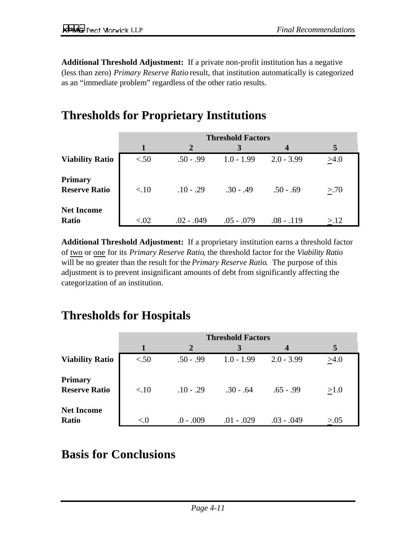**Additional Threshold Adjustment:** If a private non-profit institution has a negative (less than zero) *Primary Reserve Ratio* result, that institution automatically is categorized as an "immediate problem" regardless of the other ratio results.

## **Thresholds for Proprietary Institutions**

|                                        | <b>Threshold Factors</b> |                |              |              |      |
|----------------------------------------|--------------------------|----------------|--------------|--------------|------|
|                                        | $\mathbf 1$              | $\overline{2}$ | 3            | 4            | 5    |
| <b>Viability Ratio</b>                 | < 50                     | $.50 - .99$    | $1.0 - 1.99$ | $2.0 - 3.99$ | >4.0 |
| <b>Primary</b><br><b>Reserve Ratio</b> | < 10                     | $.10 - .29$    | $.30 - .49$  | $.50 - .69$  | > 70 |
| <b>Net Income</b><br><b>Ratio</b>      | < 0.02                   | $.02 - .049$   | $.05 - .079$ | $.08 - .119$ | >12  |

**Additional Threshold Adjustment:** If a proprietary institution earns a threshold factor of two or one for its *Primary Reserve Ratio*, the threshold factor for the *Viability Ratio* will be no greater than the result for the *Primary Reserve Ratio*. The purpose of this adjustment is to prevent insignificant amounts of debt from significantly affecting the categorization of an institution.

### **Thresholds for Hospitals**

|                                        | <b>Threshold Factors</b> |                |              |              |        |
|----------------------------------------|--------------------------|----------------|--------------|--------------|--------|
|                                        |                          | $\overline{2}$ | 3            | 4            | 5      |
| <b>Viability Ratio</b>                 | < 50                     | $.50 - .99$    | $1.0 - 1.99$ | $2.0 - 3.99$ | >4.0   |
| <b>Primary</b><br><b>Reserve Ratio</b> | < 10                     | $.10 - .29$    | $.30 - .64$  | $.65 - .99$  | >1.0   |
| <b>Net Income</b><br><b>Ratio</b>      | $\langle \cdot  $        | $.0 - .009$    | $.01 - .029$ | $.03 - .049$ | > 0.05 |

### **Basis for Conclusions**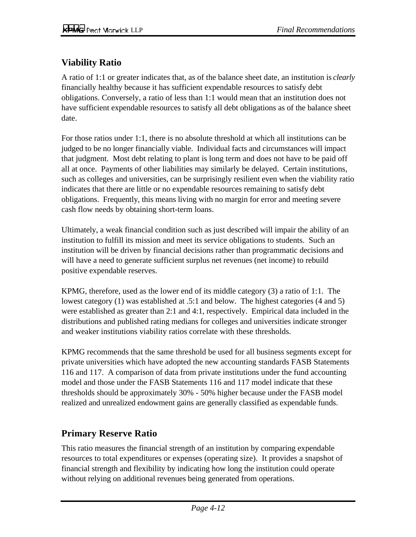#### **Viability Ratio**

A ratio of 1:1 or greater indicates that, as of the balance sheet date, an institution is *clearly* financially healthy because it has sufficient expendable resources to satisfy debt obligations. Conversely, a ratio of less than 1:1 would mean that an institution does not have sufficient expendable resources to satisfy all debt obligations as of the balance sheet date.

For those ratios under 1:1, there is no absolute threshold at which all institutions can be judged to be no longer financially viable. Individual facts and circumstances will impact that judgment. Most debt relating to plant is long term and does not have to be paid off all at once. Payments of other liabilities may similarly be delayed. Certain institutions, such as colleges and universities, can be surprisingly resilient even when the viability ratio indicates that there are little or no expendable resources remaining to satisfy debt obligations. Frequently, this means living with no margin for error and meeting severe cash flow needs by obtaining short-term loans.

Ultimately, a weak financial condition such as just described will impair the ability of an institution to fulfill its mission and meet its service obligations to students. Such an institution will be driven by financial decisions rather than programmatic decisions and will have a need to generate sufficient surplus net revenues (net income) to rebuild positive expendable reserves.

KPMG, therefore, used as the lower end of its middle category (3) a ratio of 1:1. The lowest category (1) was established at .5:1 and below. The highest categories (4 and 5) were established as greater than 2:1 and 4:1, respectively. Empirical data included in the distributions and published rating medians for colleges and universities indicate stronger and weaker institutions viability ratios correlate with these thresholds.

KPMG recommends that the same threshold be used for all business segments except for private universities which have adopted the new accounting standards FASB Statements 116 and 117. A comparison of data from private institutions under the fund accounting model and those under the FASB Statements 116 and 117 model indicate that these thresholds should be approximately 30% - 50% higher because under the FASB model realized and unrealized endowment gains are generally classified as expendable funds.

#### **Primary Reserve Ratio**

This ratio measures the financial strength of an institution by comparing expendable resources to total expenditures or expenses (operating size). It provides a snapshot of financial strength and flexibility by indicating how long the institution could operate without relying on additional revenues being generated from operations.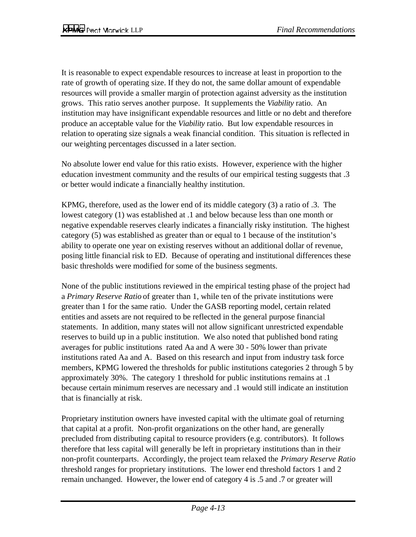It is reasonable to expect expendable resources to increase at least in proportion to the rate of growth of operating size. If they do not, the same dollar amount of expendable resources will provide a smaller margin of protection against adversity as the institution grows. This ratio serves another purpose. It supplements the *Viability* ratio. An institution may have insignificant expendable resources and little or no debt and therefore produce an acceptable value for the *Viability* ratio. But low expendable resources in relation to operating size signals a weak financial condition. This situation is reflected in our weighting percentages discussed in a later section.

No absolute lower end value for this ratio exists. However, experience with the higher education investment community and the results of our empirical testing suggests that .3 or better would indicate a financially healthy institution.

KPMG, therefore, used as the lower end of its middle category (3) a ratio of .3. The lowest category (1) was established at .1 and below because less than one month or negative expendable reserves clearly indicates a financially risky institution. The highest category (5) was established as greater than or equal to 1 because of the institution's ability to operate one year on existing reserves without an additional dollar of revenue, posing little financial risk to ED. Because of operating and institutional differences these basic thresholds were modified for some of the business segments.

None of the public institutions reviewed in the empirical testing phase of the project had a *Primary Reserve Ratio* of greater than 1, while ten of the private institutions were greater than 1 for the same ratio. Under the GASB reporting model, certain related entities and assets are not required to be reflected in the general purpose financial statements. In addition, many states will not allow significant unrestricted expendable reserves to build up in a public institution. We also noted that published bond rating averages for public institutions rated Aa and A were 30 - 50% lower than private institutions rated Aa and A. Based on this research and input from industry task force members, KPMG lowered the thresholds for public institutions categories 2 through 5 by approximately 30%. The category 1 threshold for public institutions remains at .1 because certain minimum reserves are necessary and .1 would still indicate an institution that is financially at risk.

Proprietary institution owners have invested capital with the ultimate goal of returning that capital at a profit. Non-profit organizations on the other hand, are generally precluded from distributing capital to resource providers (e.g. contributors). It follows therefore that less capital will generally be left in proprietary institutions than in their non-profit counterparts. Accordingly, the project team relaxed the *Primary Reserve Ratio* threshold ranges for proprietary institutions. The lower end threshold factors 1 and 2 remain unchanged. However, the lower end of category 4 is .5 and .7 or greater will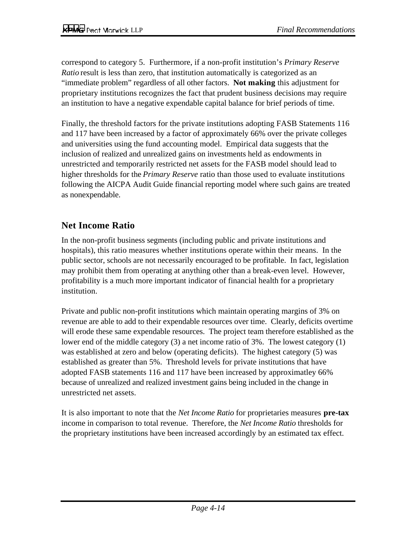correspond to category 5. Furthermore, if a non-profit institution's *Primary Reserve Ratio* result is less than zero, that institution automatically is categorized as an "immediate problem" regardless of all other factors. **Not making** this adjustment for proprietary institutions recognizes the fact that prudent business decisions may require an institution to have a negative expendable capital balance for brief periods of time.

Finally, the threshold factors for the private institutions adopting FASB Statements 116 and 117 have been increased by a factor of approximately 66% over the private colleges and universities using the fund accounting model. Empirical data suggests that the inclusion of realized and unrealized gains on investments held as endowments in unrestricted and temporarily restricted net assets for the FASB model should lead to higher thresholds for the *Primary Reserve* ratio than those used to evaluate institutions following the AICPA Audit Guide financial reporting model where such gains are treated as nonexpendable.

#### **Net Income Ratio**

In the non-profit business segments (including public and private institutions and hospitals), this ratio measures whether institutions operate within their means. In the public sector, schools are not necessarily encouraged to be profitable. In fact, legislation may prohibit them from operating at anything other than a break-even level. However, profitability is a much more important indicator of financial health for a proprietary institution.

Private and public non-profit institutions which maintain operating margins of 3% on revenue are able to add to their expendable resources over time. Clearly, deficits overtime will erode these same expendable resources. The project team therefore established as the lower end of the middle category (3) a net income ratio of 3%. The lowest category (1) was established at zero and below (operating deficits). The highest category (5) was established as greater than 5%. Threshold levels for private institutions that have adopted FASB statements 116 and 117 have been increased by approximatley 66% because of unrealized and realized investment gains being included in the change in unrestricted net assets.

It is also important to note that the *Net Income Ratio* for proprietaries measures **pre-tax** income in comparison to total revenue. Therefore, the *Net Income Ratio* thresholds for the proprietary institutions have been increased accordingly by an estimated tax effect.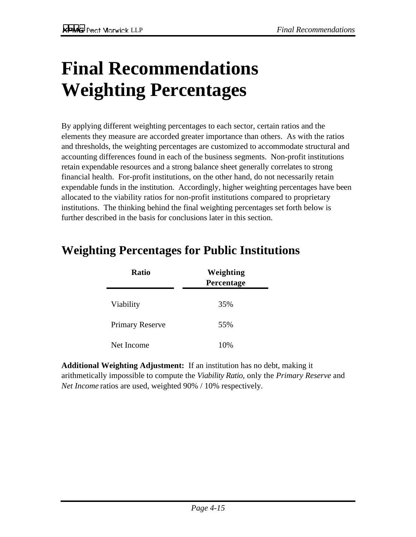# **Final Recommendations Weighting Percentages**

By applying different weighting percentages to each sector, certain ratios and the elements they measure are accorded greater importance than others. As with the ratios and thresholds, the weighting percentages are customized to accommodate structural and accounting differences found in each of the business segments. Non-profit institutions retain expendable resources and a strong balance sheet generally correlates to strong financial health. For-profit institutions, on the other hand, do not necessarily retain expendable funds in the institution. Accordingly, higher weighting percentages have been allocated to the viability ratios for non-profit institutions compared to proprietary institutions. The thinking behind the final weighting percentages set forth below is further described in the basis for conclusions later in this section.

| <b>Ratio</b>           | Weighting<br>Percentage |
|------------------------|-------------------------|
| Viability              | 35%                     |
| <b>Primary Reserve</b> | 55%                     |
| Net Income             | 10%                     |

## **Weighting Percentages for Public Institutions**

**Additional Weighting Adjustment:** If an institution has no debt, making it arithmetically impossible to compute the *Viability Ratio*, only the *Primary Reserve* and *Net Income* ratios are used, weighted 90% / 10% respectively.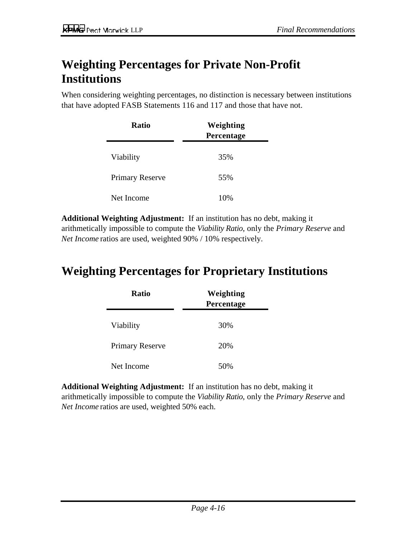## **Weighting Percentages for Private Non-Profit Institutions**

When considering weighting percentages, no distinction is necessary between institutions that have adopted FASB Statements 116 and 117 and those that have not.

| <b>Ratio</b>           | Weighting<br>Percentage |  |  |
|------------------------|-------------------------|--|--|
| Viability              | 35%                     |  |  |
| <b>Primary Reserve</b> | 55%                     |  |  |
| Net Income             | 10%                     |  |  |

**Additional Weighting Adjustment:** If an institution has no debt, making it arithmetically impossible to compute the *Viability Ratio*, only the *Primary Reserve* and *Net Income* ratios are used, weighted 90% / 10% respectively.

### **Weighting Percentages for Proprietary Institutions**

| <b>Ratio</b>           | Weighting<br>Percentage |  |  |
|------------------------|-------------------------|--|--|
| Viability              | 30%                     |  |  |
| <b>Primary Reserve</b> | 20%                     |  |  |
| Net Income             | 50%                     |  |  |

**Additional Weighting Adjustment:** If an institution has no debt, making it arithmetically impossible to compute the *Viability Ratio*, only the *Primary Reserve* and *Net Income* ratios are used, weighted 50% each.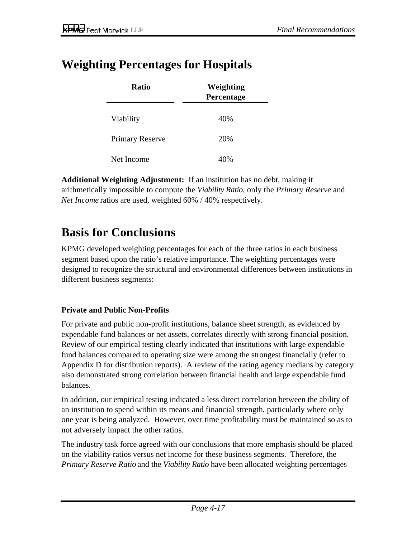### **Weighting Percentages for Hospitals**

| <b>Ratio</b>           | Weighting<br>Percentage |
|------------------------|-------------------------|
| Viability              | 40%                     |
| <b>Primary Reserve</b> | 20%                     |
| Net Income             | 40%                     |

**Additional Weighting Adjustment:** If an institution has no debt, making it arithmetically impossible to compute the *Viability Ratio*, only the *Primary Reserve* and *Net Income* ratios are used, weighted 60% / 40% respectively.

### **Basis for Conclusions**

KPMG developed weighting percentages for each of the three ratios in each business segment based upon the ratio's relative importance. The weighting percentages were designed to recognize the structural and environmental differences between institutions in different business segments:

#### **Private and Public Non-Profits**

For private and public non-profit institutions, balance sheet strength, as evidenced by expendable fund balances or net assets, correlates directly with strong financial position. Review of our empirical testing clearly indicated that institutions with large expendable fund balances compared to operating size were among the strongest financially (refer to Appendix D for distribution reports). A review of the rating agency medians by category also demonstrated strong correlation between financial health and large expendable fund balances.

In addition, our empirical testing indicated a less direct correlation between the ability of an institution to spend within its means and financial strength, particularly where only one year is being analyzed. However, over time profitability must be maintained so as to not adversely impact the other ratios.

The industry task force agreed with our conclusions that more emphasis should be placed on the viability ratios versus net income for these business segments. Therefore, the *Primary Reserve Ratio* and the *Viability Ratio* have been allocated weighting percentages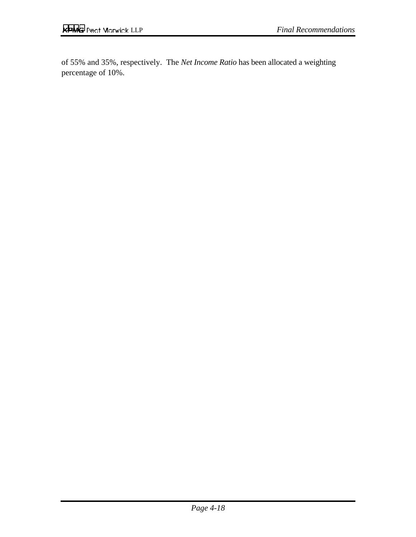of 55% and 35%, respectively. The *Net Income Ratio* has been allocated a weighting percentage of 10%.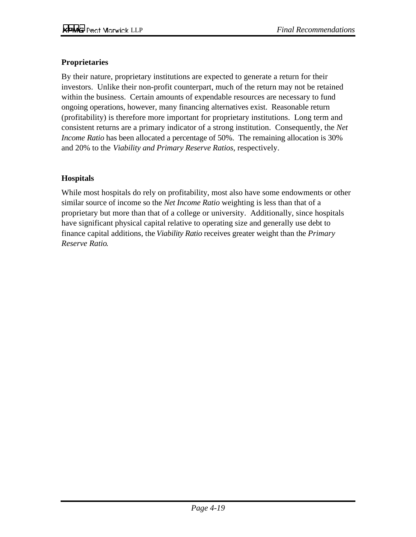#### **Proprietaries**

By their nature, proprietary institutions are expected to generate a return for their investors. Unlike their non-profit counterpart, much of the return may not be retained within the business. Certain amounts of expendable resources are necessary to fund ongoing operations, however, many financing alternatives exist. Reasonable return (profitability) is therefore more important for proprietary institutions. Long term and consistent returns are a primary indicator of a strong institution. Consequently, the *Net Income Ratio* has been allocated a percentage of 50%. The remaining allocation is 30% and 20% to the *Viability and Primary Reserve Ratios*, respectively.

#### **Hospitals**

While most hospitals do rely on profitability, most also have some endowments or other similar source of income so the *Net Income Ratio* weighting is less than that of a proprietary but more than that of a college or university. Additionally, since hospitals have significant physical capital relative to operating size and generally use debt to finance capital additions, the *Viability Ratio* receives greater weight than the *Primary Reserve Ratio*.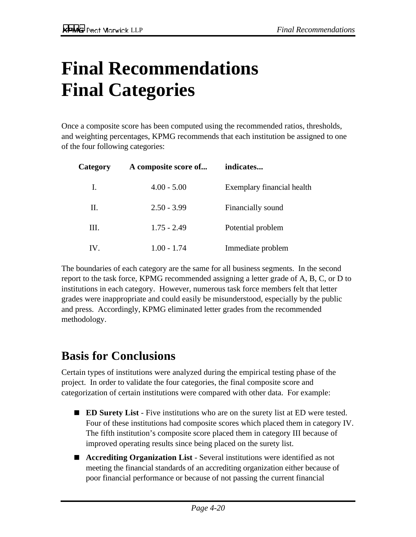# **Final Recommendations Final Categories**

Once a composite score has been computed using the recommended ratios, thresholds, and weighting percentages, KPMG recommends that each institution be assigned to one of the four following categories:

| Category | A composite score of | indicates                  |
|----------|----------------------|----------------------------|
| Ι.       | $4.00 - 5.00$        | Exemplary financial health |
| П.       | $2.50 - 3.99$        | Financially sound          |
| Ш.       | $1.75 - 2.49$        | Potential problem          |
| IV.      | $1.00 - 1.74$        | Immediate problem          |

The boundaries of each category are the same for all business segments. In the second report to the task force, KPMG recommended assigning a letter grade of A, B, C, or D to institutions in each category. However, numerous task force members felt that letter grades were inappropriate and could easily be misunderstood, especially by the public and press. Accordingly, KPMG eliminated letter grades from the recommended methodology.

### **Basis for Conclusions**

Certain types of institutions were analyzed during the empirical testing phase of the project. In order to validate the four categories, the final composite score and categorization of certain institutions were compared with other data. For example:

- **ED Surety List** Five institutions who are on the surety list at ED were tested. Four of these institutions had composite scores which placed them in category IV. The fifth institution's composite score placed them in category III because of improved operating results since being placed on the surety list.
- **Accrediting Organization List** Several institutions were identified as not meeting the financial standards of an accrediting organization either because of poor financial performance or because of not passing the current financial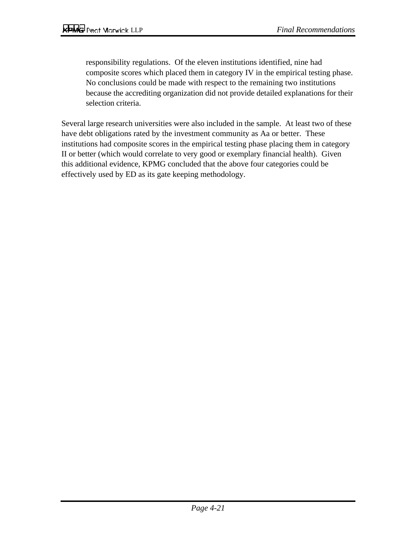responsibility regulations. Of the eleven institutions identified, nine had composite scores which placed them in category IV in the empirical testing phase. No conclusions could be made with respect to the remaining two institutions because the accrediting organization did not provide detailed explanations for their selection criteria.

Several large research universities were also included in the sample. At least two of these have debt obligations rated by the investment community as Aa or better. These institutions had composite scores in the empirical testing phase placing them in category II or better (which would correlate to very good or exemplary financial health). Given this additional evidence, KPMG concluded that the above four categories could be effectively used by ED as its gate keeping methodology.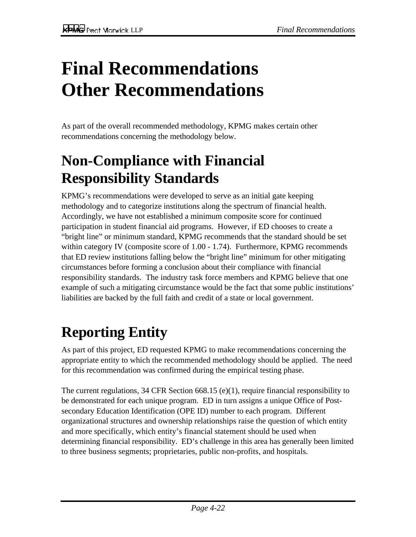# **Final Recommendations Other Recommendations**

As part of the overall recommended methodology, KPMG makes certain other recommendations concerning the methodology below.

## **Non-Compliance with Financial Responsibility Standards**

KPMG's recommendations were developed to serve as an initial gate keeping methodology and to categorize institutions along the spectrum of financial health. Accordingly, we have not established a minimum composite score for continued participation in student financial aid programs. However, if ED chooses to create a "bright line" or minimum standard, KPMG recommends that the standard should be set within category IV (composite score of 1.00 - 1.74). Furthermore, KPMG recommends that ED review institutions falling below the "bright line" minimum for other mitigating circumstances before forming a conclusion about their compliance with financial responsibility standards. The industry task force members and KPMG believe that one example of such a mitigating circumstance would be the fact that some public institutions' liabilities are backed by the full faith and credit of a state or local government.

# **Reporting Entity**

As part of this project, ED requested KPMG to make recommendations concerning the appropriate entity to which the recommended methodology should be applied. The need for this recommendation was confirmed during the empirical testing phase.

The current regulations, 34 CFR Section 668.15 (e)(1), require financial responsibility to be demonstrated for each unique program. ED in turn assigns a unique Office of Postsecondary Education Identification (OPE ID) number to each program. Different organizational structures and ownership relationships raise the question of which entity and more specifically, which entity's financial statement should be used when determining financial responsibility. ED's challenge in this area has generally been limited to three business segments; proprietaries, public non-profits, and hospitals.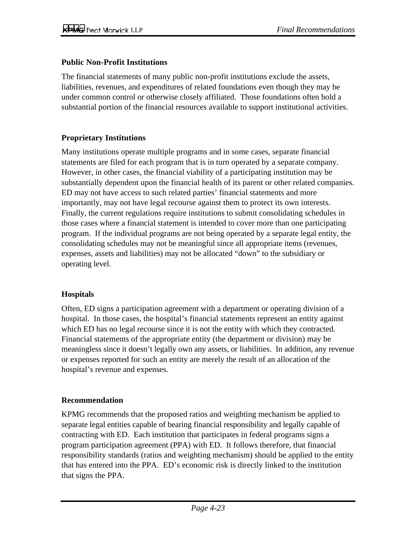#### **Public Non-Profit Institutions**

The financial statements of many public non-profit institutions exclude the assets, liabilities, revenues, and expenditures of related foundations even though they may be under common control or otherwise closely affiliated. Those foundations often hold a substantial portion of the financial resources available to support institutional activities.

#### **Proprietary Institutions**

Many institutions operate multiple programs and in some cases, separate financial statements are filed for each program that is in turn operated by a separate company. However, in other cases, the financial viability of a participating institution may be substantially dependent upon the financial health of its parent or other related companies. ED may not have access to such related parties' financial statements and more importantly, may not have legal recourse against them to protect its own interests. Finally, the current regulations require institutions to submit consolidating schedules in those cases where a financial statement is intended to cover more than one participating program. If the individual programs are not being operated by a separate legal entity, the consolidating schedules may not be meaningful since all appropriate items (revenues, expenses, assets and liabilities) may not be allocated "down" to the subsidiary or operating level.

#### **Hospitals**

Often, ED signs a participation agreement with a department or operating division of a hospital. In those cases, the hospital's financial statements represent an entity against which ED has no legal recourse since it is not the entity with which they contracted. Financial statements of the appropriate entity (the department or division) may be meaningless since it doesn't legally own any assets, or liabilities. In addition, any revenue or expenses reported for such an entity are merely the result of an allocation of the hospital's revenue and expenses.

#### **Recommendation**

KPMG recommends that the proposed ratios and weighting mechanism be applied to separate legal entities capable of bearing financial responsibility and legally capable of contracting with ED. Each institution that participates in federal programs signs a program participation agreement (PPA) with ED. It follows therefore, that financial responsibility standards (ratios and weighting mechanism) should be applied to the entity that has entered into the PPA. ED's economic risk is directly linked to the institution that signs the PPA.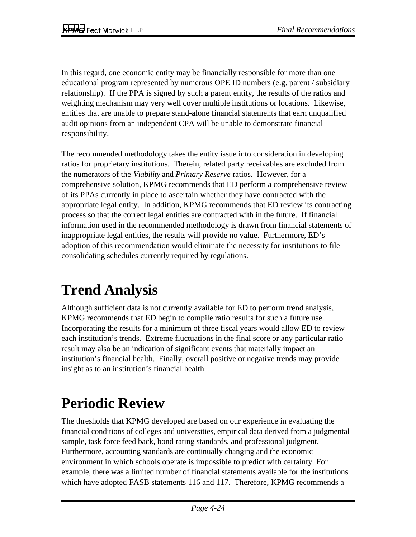In this regard, one economic entity may be financially responsible for more than one educational program represented by numerous OPE ID numbers (e.g. parent / subsidiary relationship). If the PPA is signed by such a parent entity, the results of the ratios and weighting mechanism may very well cover multiple institutions or locations. Likewise, entities that are unable to prepare stand-alone financial statements that earn unqualified audit opinions from an independent CPA will be unable to demonstrate financial responsibility.

The recommended methodology takes the entity issue into consideration in developing ratios for proprietary institutions. Therein, related party receivables are excluded from the numerators of the *Viability* and *Primary Reserve* ratios. However, for a comprehensive solution, KPMG recommends that ED perform a comprehensive review of its PPAs currently in place to ascertain whether they have contracted with the appropriate legal entity. In addition, KPMG recommends that ED review its contracting process so that the correct legal entities are contracted with in the future. If financial information used in the recommended methodology is drawn from financial statements of inappropriate legal entities, the results will provide no value. Furthermore, ED's adoption of this recommendation would eliminate the necessity for institutions to file consolidating schedules currently required by regulations.

# **Trend Analysis**

Although sufficient data is not currently available for ED to perform trend analysis, KPMG recommends that ED begin to compile ratio results for such a future use. Incorporating the results for a minimum of three fiscal years would allow ED to review each institution's trends. Extreme fluctuations in the final score or any particular ratio result may also be an indication of significant events that materially impact an institution's financial health. Finally, overall positive or negative trends may provide insight as to an institution's financial health.

# **Periodic Review**

The thresholds that KPMG developed are based on our experience in evaluating the financial conditions of colleges and universities, empirical data derived from a judgmental sample, task force feed back, bond rating standards, and professional judgment. Furthermore, accounting standards are continually changing and the economic environment in which schools operate is impossible to predict with certainty. For example, there was a limited number of financial statements available for the institutions which have adopted FASB statements 116 and 117. Therefore, KPMG recommends a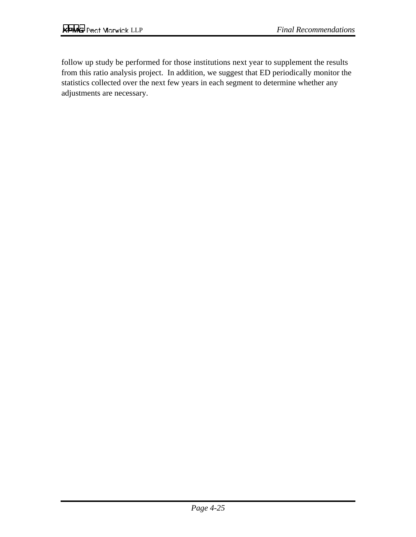follow up study be performed for those institutions next year to supplement the results from this ratio analysis project. In addition, we suggest that ED periodically monitor the statistics collected over the next few years in each segment to determine whether any adjustments are necessary.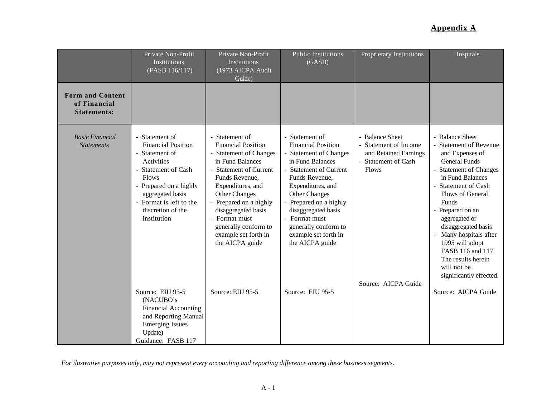|                                                               | Private Non-Profit<br>Institutions<br>(FASB 116/117)                                                                                                                                                                                                 | Private Non-Profit<br>Institutions<br>(1973 AICPA Audit<br>Guide)                                                                                                                                                                                                                                                          | <b>Public Institutions</b><br>(GASB)                                                                                                                                                                                                                                                                                    | <b>Proprietary Institutions</b>                                                                                                 | Hospitals                                                                                                                                                                                                                                                                                                                                                                             |
|---------------------------------------------------------------|------------------------------------------------------------------------------------------------------------------------------------------------------------------------------------------------------------------------------------------------------|----------------------------------------------------------------------------------------------------------------------------------------------------------------------------------------------------------------------------------------------------------------------------------------------------------------------------|-------------------------------------------------------------------------------------------------------------------------------------------------------------------------------------------------------------------------------------------------------------------------------------------------------------------------|---------------------------------------------------------------------------------------------------------------------------------|---------------------------------------------------------------------------------------------------------------------------------------------------------------------------------------------------------------------------------------------------------------------------------------------------------------------------------------------------------------------------------------|
| <b>Form and Content</b><br>of Financial<br><b>Statements:</b> |                                                                                                                                                                                                                                                      |                                                                                                                                                                                                                                                                                                                            |                                                                                                                                                                                                                                                                                                                         |                                                                                                                                 |                                                                                                                                                                                                                                                                                                                                                                                       |
| <b>Basic Financial</b><br><b>Statements</b>                   | - Statement of<br><b>Financial Position</b><br>Statement of<br>$\blacksquare$<br>Activities<br><b>Statement of Cash</b><br><b>Flows</b><br>- Prepared on a highly<br>aggregated basis<br>- Format is left to the<br>discretion of the<br>institution | - Statement of<br><b>Financial Position</b><br><b>Statement of Changes</b><br>in Fund Balances<br>- Statement of Current<br>Funds Revenue,<br>Expenditures, and<br><b>Other Changes</b><br>Prepared on a highly<br>disaggregated basis<br>- Format must<br>generally conform to<br>example set forth in<br>the AICPA guide | - Statement of<br><b>Financial Position</b><br>- Statement of Changes<br>in Fund Balances<br>- Statement of Current<br>Funds Revenue,<br>Expenditures, and<br><b>Other Changes</b><br>- Prepared on a highly<br>disaggregated basis<br>- Format must<br>generally conform to<br>example set forth in<br>the AICPA guide | - Balance Sheet<br>- Statement of Income<br>and Retained Earnings<br>- Statement of Cash<br><b>Flows</b><br>Source: AICPA Guide | - Balance Sheet<br><b>Statement of Revenue</b><br>and Expenses of<br><b>General Funds</b><br>- Statement of Changes<br>in Fund Balances<br>Statement of Cash<br>Flows of General<br>Funds<br>- Prepared on an<br>aggregated or<br>disaggregated basis<br>Many hospitals after<br>1995 will adopt<br>FASB 116 and 117.<br>The results herein<br>will not be<br>significantly effected. |
|                                                               | Source: EIU 95-5<br>(NACUBO's<br><b>Financial Accounting</b><br>and Reporting Manual<br><b>Emerging Issues</b><br>Update)<br>Guidance: FASB 117                                                                                                      | Source: EIU 95-5                                                                                                                                                                                                                                                                                                           | Source: EIU 95-5                                                                                                                                                                                                                                                                                                        |                                                                                                                                 | Source: AICPA Guide                                                                                                                                                                                                                                                                                                                                                                   |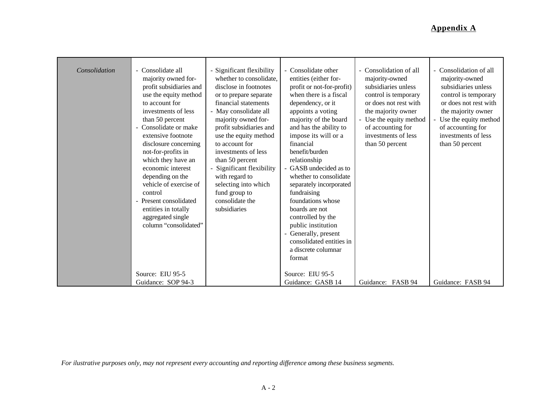| Consolidation | - Consolidate all<br>majority owned for-<br>profit subsidiaries and<br>use the equity method<br>to account for<br>investments of less<br>than 50 percent<br>Consolidate or make<br>extensive footnote<br>disclosure concerning<br>not-for-profits in<br>which they have an<br>economic interest<br>depending on the<br>vehicle of exercise of<br>control<br>- Present consolidated<br>entities in totally<br>aggregated single<br>column "consolidated"<br>Source: EIU 95-5 | Significant flexibility<br>whether to consolidate.<br>disclose in footnotes<br>or to prepare separate<br>financial statements<br>- May consolidate all<br>majority owned for-<br>profit subsidiaries and<br>use the equity method<br>to account for<br>investments of less<br>than 50 percent<br>Significant flexibility<br>with regard to<br>selecting into which<br>fund group to<br>consolidate the<br>subsidiaries | - Consolidate other<br>entities (either for-<br>profit or not-for-profit)<br>when there is a fiscal<br>dependency, or it<br>appoints a voting<br>majority of the board<br>and has the ability to<br>impose its will or a<br>financial<br>benefit/burden<br>relationship<br>- GASB undecided as to<br>whether to consolidate<br>separately incorporated<br>fundraising<br>foundations whose<br>boards are not<br>controlled by the<br>public institution<br>Generally, present<br>consolidated entities in<br>a discrete columnar<br>format<br>Source: EIU 95-5 | - Consolidation of all<br>majority-owned<br>subsidiaries unless<br>control is temporary<br>or does not rest with<br>the majority owner<br>- Use the equity method<br>of accounting for<br>investments of less<br>than 50 percent | - Consolidation of all<br>majority-owned<br>subsidiaries unless<br>control is temporary<br>or does not rest with<br>the majority owner<br>- Use the equity method<br>of accounting for<br>investments of less<br>than 50 percent |
|---------------|-----------------------------------------------------------------------------------------------------------------------------------------------------------------------------------------------------------------------------------------------------------------------------------------------------------------------------------------------------------------------------------------------------------------------------------------------------------------------------|------------------------------------------------------------------------------------------------------------------------------------------------------------------------------------------------------------------------------------------------------------------------------------------------------------------------------------------------------------------------------------------------------------------------|----------------------------------------------------------------------------------------------------------------------------------------------------------------------------------------------------------------------------------------------------------------------------------------------------------------------------------------------------------------------------------------------------------------------------------------------------------------------------------------------------------------------------------------------------------------|----------------------------------------------------------------------------------------------------------------------------------------------------------------------------------------------------------------------------------|----------------------------------------------------------------------------------------------------------------------------------------------------------------------------------------------------------------------------------|
|               | Guidance: SOP 94-3                                                                                                                                                                                                                                                                                                                                                                                                                                                          |                                                                                                                                                                                                                                                                                                                                                                                                                        | Guidance: GASB 14                                                                                                                                                                                                                                                                                                                                                                                                                                                                                                                                              | Guidance: FASB 94                                                                                                                                                                                                                | Guidance: FASB 94                                                                                                                                                                                                                |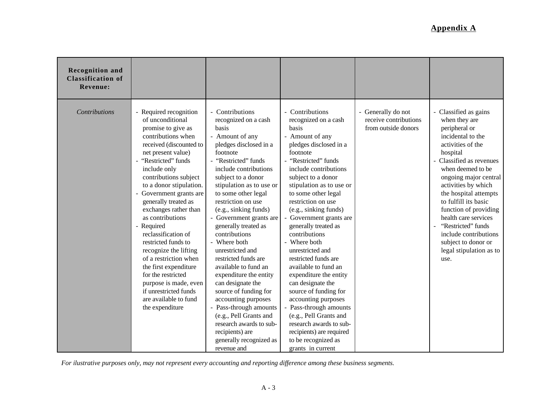| <b>Recognition and</b><br><b>Classification of</b><br><b>Revenue:</b> |                                                                                                                                                                                                                                                                                                                                                                                                                                                                                                                                                                                              |                                                                                                                                                                                                                                                                                                                                                                                                                                                                                                                                                                                                                                                                                     |                                                                                                                                                                                                                                                                                                                                                                                                                                                                                                                                                                                                                                                                                            |                                                                    |                                                                                                                                                                                                                                                                                                                                                                                                                         |
|-----------------------------------------------------------------------|----------------------------------------------------------------------------------------------------------------------------------------------------------------------------------------------------------------------------------------------------------------------------------------------------------------------------------------------------------------------------------------------------------------------------------------------------------------------------------------------------------------------------------------------------------------------------------------------|-------------------------------------------------------------------------------------------------------------------------------------------------------------------------------------------------------------------------------------------------------------------------------------------------------------------------------------------------------------------------------------------------------------------------------------------------------------------------------------------------------------------------------------------------------------------------------------------------------------------------------------------------------------------------------------|--------------------------------------------------------------------------------------------------------------------------------------------------------------------------------------------------------------------------------------------------------------------------------------------------------------------------------------------------------------------------------------------------------------------------------------------------------------------------------------------------------------------------------------------------------------------------------------------------------------------------------------------------------------------------------------------|--------------------------------------------------------------------|-------------------------------------------------------------------------------------------------------------------------------------------------------------------------------------------------------------------------------------------------------------------------------------------------------------------------------------------------------------------------------------------------------------------------|
| <b>Contributions</b>                                                  | - Required recognition<br>of unconditional<br>promise to give as<br>contributions when<br>received (discounted to<br>net present value)<br>"Restricted" funds<br>include only<br>contributions subject<br>to a donor stipulation.<br>- Government grants are<br>generally treated as<br>exchanges rather than<br>as contributions<br>- Required<br>reclassification of<br>restricted funds to<br>recognize the lifting<br>of a restriction when<br>the first expenditure<br>for the restricted<br>purpose is made, even<br>if unrestricted funds<br>are available to fund<br>the expenditure | - Contributions<br>recognized on a cash<br>basis<br>- Amount of any<br>pledges disclosed in a<br>footnote<br>- "Restricted" funds<br>include contributions<br>subject to a donor<br>stipulation as to use or<br>to some other legal<br>restriction on use<br>(e.g., sinking funds)<br>Government grants are<br>generally treated as<br>contributions<br>- Where both<br>unrestricted and<br>restricted funds are<br>available to fund an<br>expenditure the entity<br>can designate the<br>source of funding for<br>accounting purposes<br>- Pass-through amounts<br>(e.g., Pell Grants and<br>research awards to sub-<br>recipients) are<br>generally recognized as<br>revenue and | Contributions<br>recognized on a cash<br>basis<br>- Amount of any<br>pledges disclosed in a<br>footnote<br>- "Restricted" funds<br>include contributions<br>subject to a donor<br>stipulation as to use or<br>to some other legal<br>restriction on use<br>(e.g., sinking funds)<br>Government grants are<br>generally treated as<br>contributions<br>- Where both<br>unrestricted and<br>restricted funds are<br>available to fund an<br>expenditure the entity<br>can designate the<br>source of funding for<br>accounting purposes<br>Pass-through amounts<br>(e.g., Pell Grants and<br>research awards to sub-<br>recipients) are required<br>to be recognized as<br>grants in current | - Generally do not<br>receive contributions<br>from outside donors | - Classified as gains<br>when they are<br>peripheral or<br>incidental to the<br>activities of the<br>hospital<br>Classified as revenues<br>when deemed to be<br>ongoing major central<br>activities by which<br>the hospital attempts<br>to fulfill its basic<br>function of providing<br>health care services<br>"Restricted" funds<br>include contributions<br>subject to donor or<br>legal stipulation as to<br>use. |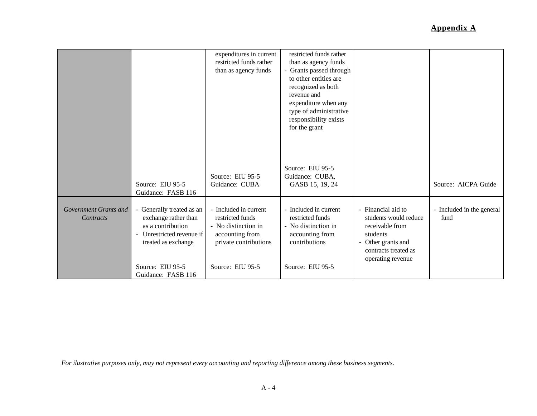|                                    |                                                                                                                                                      | expenditures in current<br>restricted funds rather<br>than as agency funds                                   | restricted funds rather<br>than as agency funds<br>- Grants passed through<br>to other entities are<br>recognized as both<br>revenue and<br>expenditure when any<br>type of administrative<br>responsibility exists<br>for the grant |                                                                                                                                             |                                   |
|------------------------------------|------------------------------------------------------------------------------------------------------------------------------------------------------|--------------------------------------------------------------------------------------------------------------|--------------------------------------------------------------------------------------------------------------------------------------------------------------------------------------------------------------------------------------|---------------------------------------------------------------------------------------------------------------------------------------------|-----------------------------------|
|                                    | Source: EIU 95-5<br>Guidance: FASB 116                                                                                                               | Source: EIU 95-5<br>Guidance: CUBA                                                                           | Source: EIU 95-5<br>Guidance: CUBA,<br>GASB 15, 19, 24                                                                                                                                                                               |                                                                                                                                             | Source: AICPA Guide               |
| Government Grants and<br>Contracts | - Generally treated as an<br>exchange rather than<br>as a contribution<br>Unrestricted revenue if<br>$\overline{\phantom{0}}$<br>treated as exchange | - Included in current<br>restricted funds<br>- No distinction in<br>accounting from<br>private contributions | - Included in current<br>restricted funds<br>- No distinction in<br>accounting from<br>contributions                                                                                                                                 | - Financial aid to<br>students would reduce<br>receivable from<br>students<br>Other grants and<br>contracts treated as<br>operating revenue | - Included in the general<br>fund |
|                                    | Source: EIU 95-5<br>Guidance: FASB 116                                                                                                               | Source: EIU 95-5                                                                                             | Source: EIU 95-5                                                                                                                                                                                                                     |                                                                                                                                             |                                   |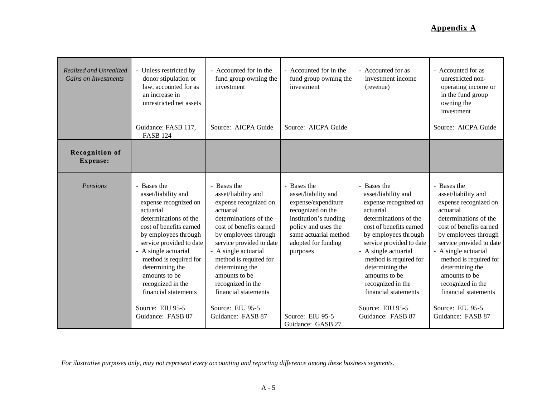| Realized and Unrealized<br><b>Gains on Investments</b> | - Unless restricted by<br>donor stipulation or<br>law, accounted for as<br>an increase in<br>unrestricted net assets<br>Guidance: FASB 117,<br><b>FASB 124</b>                                                                                                                                                                                               | - Accounted for in the<br>fund group owning the<br>investment<br>Source: AICPA Guide                                                                                                                                                                                                                                                                         | - Accounted for in the<br>fund group owning the<br>investment<br>Source: AICPA Guide                                                                                                                                              | - Accounted for as<br>investment income<br>(revenue)                                                                                                                                                                                                                                                                                                         | - Accounted for as<br>unrestricted non-<br>operating income or<br>in the fund group<br>owning the<br>investment<br>Source: AICPA Guide                                                                                                                                                                                                                       |
|--------------------------------------------------------|--------------------------------------------------------------------------------------------------------------------------------------------------------------------------------------------------------------------------------------------------------------------------------------------------------------------------------------------------------------|--------------------------------------------------------------------------------------------------------------------------------------------------------------------------------------------------------------------------------------------------------------------------------------------------------------------------------------------------------------|-----------------------------------------------------------------------------------------------------------------------------------------------------------------------------------------------------------------------------------|--------------------------------------------------------------------------------------------------------------------------------------------------------------------------------------------------------------------------------------------------------------------------------------------------------------------------------------------------------------|--------------------------------------------------------------------------------------------------------------------------------------------------------------------------------------------------------------------------------------------------------------------------------------------------------------------------------------------------------------|
| <b>Recognition of</b><br><b>Expense:</b>               |                                                                                                                                                                                                                                                                                                                                                              |                                                                                                                                                                                                                                                                                                                                                              |                                                                                                                                                                                                                                   |                                                                                                                                                                                                                                                                                                                                                              |                                                                                                                                                                                                                                                                                                                                                              |
| Pensions                                               | - Bases the<br>asset/liability and<br>expense recognized on<br>actuarial<br>determinations of the<br>cost of benefits earned<br>by employees through<br>service provided to date<br>- A single actuarial<br>method is required for<br>determining the<br>amounts to be<br>recognized in the<br>financial statements<br>Source: EIU 95-5<br>Guidance: FASB 87 | - Bases the<br>asset/liability and<br>expense recognized on<br>actuarial<br>determinations of the<br>cost of benefits earned<br>by employees through<br>service provided to date<br>- A single actuarial<br>method is required for<br>determining the<br>amounts to be<br>recognized in the<br>financial statements<br>Source: EIU 95-5<br>Guidance: FASB 87 | Bases the<br>asset/liability and<br>expense/expenditure<br>recognized on the<br>institution's funding<br>policy and uses the<br>same actuarial method<br>adopted for funding<br>purposes<br>Source: EIU 95-5<br>Guidance: GASB 27 | - Bases the<br>asset/liability and<br>expense recognized on<br>actuarial<br>determinations of the<br>cost of benefits earned<br>by employees through<br>service provided to date<br>- A single actuarial<br>method is required for<br>determining the<br>amounts to be<br>recognized in the<br>financial statements<br>Source: EIU 95-5<br>Guidance: FASB 87 | - Bases the<br>asset/liability and<br>expense recognized on<br>actuarial<br>determinations of the<br>cost of benefits earned<br>by employees through<br>service provided to date<br>- A single actuarial<br>method is required for<br>determining the<br>amounts to be<br>recognized in the<br>financial statements<br>Source: EIU 95-5<br>Guidance: FASB 87 |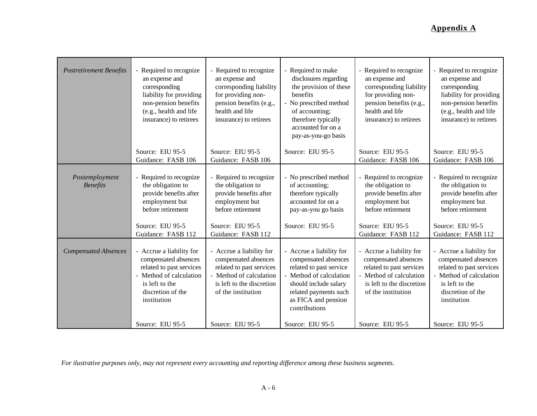| <b>Postretirement Benefits</b>    | - Required to recognize<br>an expense and<br>corresponding<br>liability for providing<br>non-pension benefits<br>(e.g., health and life<br>insurance) to retirees                   | - Required to recognize<br>an expense and<br>corresponding liability<br>for providing non-<br>pension benefits (e.g.,<br>health and life<br>insurance) to retirees               | - Required to make<br>disclosures regarding<br>the provision of these<br>benefits<br>- No prescribed method<br>of accounting;<br>therefore typically<br>accounted for on a<br>pay-as-you-go basis | - Required to recognize<br>an expense and<br>corresponding liability<br>for providing non-<br>pension benefits (e.g.,<br>health and life<br>insurance) to retirees               | - Required to recognize<br>an expense and<br>corresponding<br>liability for providing<br>non-pension benefits<br>(e.g., health and life<br>insurance) to retirees                   |
|-----------------------------------|-------------------------------------------------------------------------------------------------------------------------------------------------------------------------------------|----------------------------------------------------------------------------------------------------------------------------------------------------------------------------------|---------------------------------------------------------------------------------------------------------------------------------------------------------------------------------------------------|----------------------------------------------------------------------------------------------------------------------------------------------------------------------------------|-------------------------------------------------------------------------------------------------------------------------------------------------------------------------------------|
|                                   | Source: EIU 95-5<br>Guidance: FASB 106                                                                                                                                              | Source: EIU 95-5<br>Guidance: FASB 106                                                                                                                                           | Source: EIU 95-5                                                                                                                                                                                  | Source: EIU 95-5<br>Guidance: FASB 106                                                                                                                                           | Source: EIU 95-5<br>Guidance: FASB 106                                                                                                                                              |
| Postemployment<br><b>Benefits</b> | - Required to recognize<br>the obligation to<br>provide benefits after<br>employment but<br>before retirement<br>Source: EIU 95-5                                                   | - Required to recognize<br>the obligation to<br>provide benefits after<br>employment but<br>before retirement<br>Source: EIU 95-5                                                | - No prescribed method<br>of accounting;<br>therefore typically<br>accounted for on a<br>pay-as-you go basis<br>Source: EIU 95-5                                                                  | - Required to recognize<br>the obligation to<br>provide benefits after<br>employment but<br>before retirement<br>Source: EIU 95-5                                                | - Required to recognize<br>the obligation to<br>provide benefits after<br>employment but<br>before retirement<br>Source: EIU 95-5                                                   |
| <b>Compensated Absences</b>       | Guidance: FASB 112<br>- Accrue a liability for<br>compensated absences<br>related to past services<br>- Method of calculation<br>is left to the<br>discretion of the<br>institution | Guidance: FASB 112<br>- Accrue a liability for<br>compensated absences<br>related to past services<br>- Method of calculation<br>is left to the discretion<br>of the institution | - Accrue a liability for<br>compensated absences<br>related to past service<br>- Method of calculation<br>should include salary<br>related payments such<br>as FICA and pension<br>contributions  | Guidance: FASB 112<br>- Accrue a liability for<br>compensated absences<br>related to past services<br>- Method of calculation<br>is left to the discretion<br>of the institution | Guidance: FASB 112<br>- Accrue a liability for<br>compensated absences<br>related to past services<br>- Method of calculation<br>is left to the<br>discretion of the<br>institution |
|                                   | Source: EIU 95-5                                                                                                                                                                    | Source: EIU 95-5                                                                                                                                                                 | Source: EIU 95-5                                                                                                                                                                                  | Source: EIU 95-5                                                                                                                                                                 | Source: EIU 95-5                                                                                                                                                                    |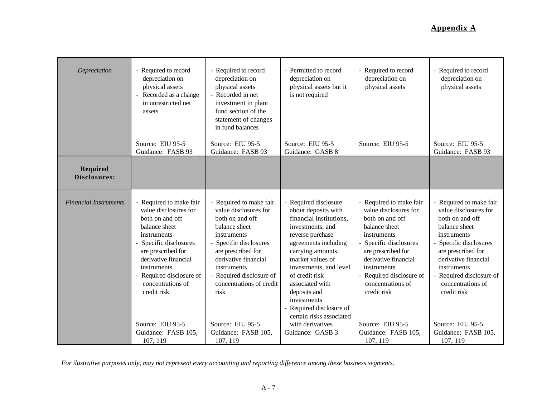| Depreciation                    | - Required to record<br>depreciation on<br>physical assets<br>Recorded as a change<br>$\overline{\phantom{a}}$<br>in unrestricted net<br>assets                                                                                                                                                                   | - Required to record<br>depreciation on<br>physical assets<br>- Recorded in net<br>investment in plant<br>fund section of the<br>statement of changes<br>in fund balances                                                                                                                                     | - Permitted to record<br>depreciation on<br>physical assets but it<br>is not required                                                                                                                                                                                                                                                                                      | - Required to record<br>depreciation on<br>physical assets                                                                                                                                                                                                                                                        | - Required to record<br>depreciation on<br>physical assets                                                                                                                                                                                                                                                        |
|---------------------------------|-------------------------------------------------------------------------------------------------------------------------------------------------------------------------------------------------------------------------------------------------------------------------------------------------------------------|---------------------------------------------------------------------------------------------------------------------------------------------------------------------------------------------------------------------------------------------------------------------------------------------------------------|----------------------------------------------------------------------------------------------------------------------------------------------------------------------------------------------------------------------------------------------------------------------------------------------------------------------------------------------------------------------------|-------------------------------------------------------------------------------------------------------------------------------------------------------------------------------------------------------------------------------------------------------------------------------------------------------------------|-------------------------------------------------------------------------------------------------------------------------------------------------------------------------------------------------------------------------------------------------------------------------------------------------------------------|
|                                 | Source: EIU 95-5<br>Guidance: FASB 93                                                                                                                                                                                                                                                                             | Source: EIU 95-5<br>Guidance: FASB 93                                                                                                                                                                                                                                                                         | Source: EIU 95-5<br>Guidance: GASB 8                                                                                                                                                                                                                                                                                                                                       | Source: EIU 95-5                                                                                                                                                                                                                                                                                                  | Source: EIU 95-5<br>Guidance: FASB 93                                                                                                                                                                                                                                                                             |
| <b>Required</b><br>Disclosures: |                                                                                                                                                                                                                                                                                                                   |                                                                                                                                                                                                                                                                                                               |                                                                                                                                                                                                                                                                                                                                                                            |                                                                                                                                                                                                                                                                                                                   |                                                                                                                                                                                                                                                                                                                   |
| <b>Financial Instruments</b>    | - Required to make fair<br>value disclosures for<br>both on and off<br>balance sheet<br>instruments<br>- Specific disclosures<br>are prescribed for<br>derivative financial<br>instruments<br>- Required disclosure of<br>concentrations of<br>credit risk<br>Source: EIU 95-5<br>Guidance: FASB 105,<br>107, 119 | Required to make fair<br>value disclosures for<br>both on and off<br>balance sheet<br>instruments<br>- Specific disclosures<br>are prescribed for<br>derivative financial<br>instruments<br>Required disclosure of<br>concentrations of credit<br>risk<br>Source: EIU 95-5<br>Guidance: FASB 105,<br>107, 119 | Required disclosure<br>about deposits with<br>financial institutions,<br>investments, and<br>reverse purchase<br>agreements including<br>carrying amounts,<br>market values of<br>investments, and level<br>of credit risk<br>associated with<br>deposits and<br>investments<br>Required disclosure of<br>certain risks associated<br>with derivatives<br>Guidance: GASB 3 | - Required to make fair<br>value disclosures for<br>both on and off<br>balance sheet<br>instruments<br>- Specific disclosures<br>are prescribed for<br>derivative financial<br>instruments<br>- Required disclosure of<br>concentrations of<br>credit risk<br>Source: EIU 95-5<br>Guidance: FASB 105,<br>107, 119 | - Required to make fair<br>value disclosures for<br>both on and off<br>balance sheet<br>instruments<br>- Specific disclosures<br>are prescribed for<br>derivative financial<br>instruments<br>- Required disclosure of<br>concentrations of<br>credit risk<br>Source: EIU 95-5<br>Guidance: FASB 105,<br>107, 119 |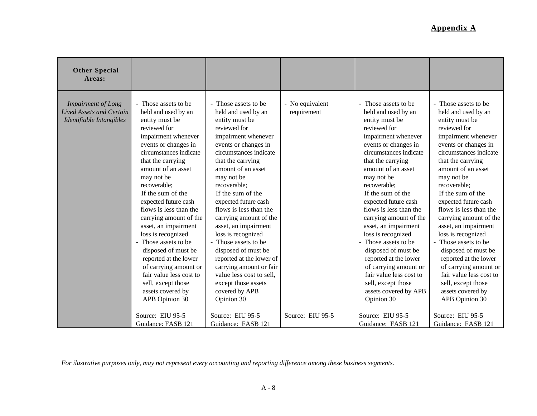| <b>Other Special</b><br>Areas:                                                           |                                                                                                                                                                                                                                                                                                                                                                                                                                                                                                                                                                       |                                                                                                                                                                                                                                                                                                                                                                                                                                                                                                                                                                         |                                |                                                                                                                                                                                                                                                                                                                                                                                                                                                                                                                                                                       |                                                                                                                                                                                                                                                                                                                                                                                                                                                                                                                                                                       |
|------------------------------------------------------------------------------------------|-----------------------------------------------------------------------------------------------------------------------------------------------------------------------------------------------------------------------------------------------------------------------------------------------------------------------------------------------------------------------------------------------------------------------------------------------------------------------------------------------------------------------------------------------------------------------|-------------------------------------------------------------------------------------------------------------------------------------------------------------------------------------------------------------------------------------------------------------------------------------------------------------------------------------------------------------------------------------------------------------------------------------------------------------------------------------------------------------------------------------------------------------------------|--------------------------------|-----------------------------------------------------------------------------------------------------------------------------------------------------------------------------------------------------------------------------------------------------------------------------------------------------------------------------------------------------------------------------------------------------------------------------------------------------------------------------------------------------------------------------------------------------------------------|-----------------------------------------------------------------------------------------------------------------------------------------------------------------------------------------------------------------------------------------------------------------------------------------------------------------------------------------------------------------------------------------------------------------------------------------------------------------------------------------------------------------------------------------------------------------------|
| <b>Impairment of Long</b><br><b>Lived Assets and Certain</b><br>Identifiable Intangibles | - Those assets to be<br>held and used by an<br>entity must be<br>reviewed for<br>impairment whenever<br>events or changes in<br>circumstances indicate<br>that the carrying<br>amount of an asset<br>may not be<br>recoverable;<br>If the sum of the<br>expected future cash<br>flows is less than the<br>carrying amount of the<br>asset, an impairment<br>loss is recognized<br>Those assets to be<br>disposed of must be<br>reported at the lower<br>of carrying amount or<br>fair value less cost to<br>sell, except those<br>assets covered by<br>APB Opinion 30 | - Those assets to be<br>held and used by an<br>entity must be<br>reviewed for<br>impairment whenever<br>events or changes in<br>circumstances indicate<br>that the carrying<br>amount of an asset<br>may not be<br>recoverable;<br>If the sum of the<br>expected future cash<br>flows is less than the<br>carrying amount of the<br>asset, an impairment<br>loss is recognized<br>- Those assets to be<br>disposed of must be<br>reported at the lower of<br>carrying amount or fair<br>value less cost to sell,<br>except those assets<br>covered by APB<br>Opinion 30 | - No equivalent<br>requirement | - Those assets to be<br>held and used by an<br>entity must be<br>reviewed for<br>impairment whenever<br>events or changes in<br>circumstances indicate<br>that the carrying<br>amount of an asset<br>may not be<br>recoverable;<br>If the sum of the<br>expected future cash<br>flows is less than the<br>carrying amount of the<br>asset, an impairment<br>loss is recognized<br>Those assets to be<br>disposed of must be<br>reported at the lower<br>of carrying amount or<br>fair value less cost to<br>sell, except those<br>assets covered by APB<br>Opinion 30 | - Those assets to be<br>held and used by an<br>entity must be<br>reviewed for<br>impairment whenever<br>events or changes in<br>circumstances indicate<br>that the carrying<br>amount of an asset<br>may not be<br>recoverable;<br>If the sum of the<br>expected future cash<br>flows is less than the<br>carrying amount of the<br>asset, an impairment<br>loss is recognized<br>Those assets to be<br>disposed of must be<br>reported at the lower<br>of carrying amount or<br>fair value less cost to<br>sell, except those<br>assets covered by<br>APB Opinion 30 |
|                                                                                          | Source: EIU 95-5<br>Guidance: FASB 121                                                                                                                                                                                                                                                                                                                                                                                                                                                                                                                                | Source: EIU 95-5<br>Guidance: FASB 121                                                                                                                                                                                                                                                                                                                                                                                                                                                                                                                                  | Source: EIU 95-5               | Source: EIU 95-5<br>Guidance: FASB 121                                                                                                                                                                                                                                                                                                                                                                                                                                                                                                                                | Source: EIU 95-5<br>Guidance: FASB 121                                                                                                                                                                                                                                                                                                                                                                                                                                                                                                                                |